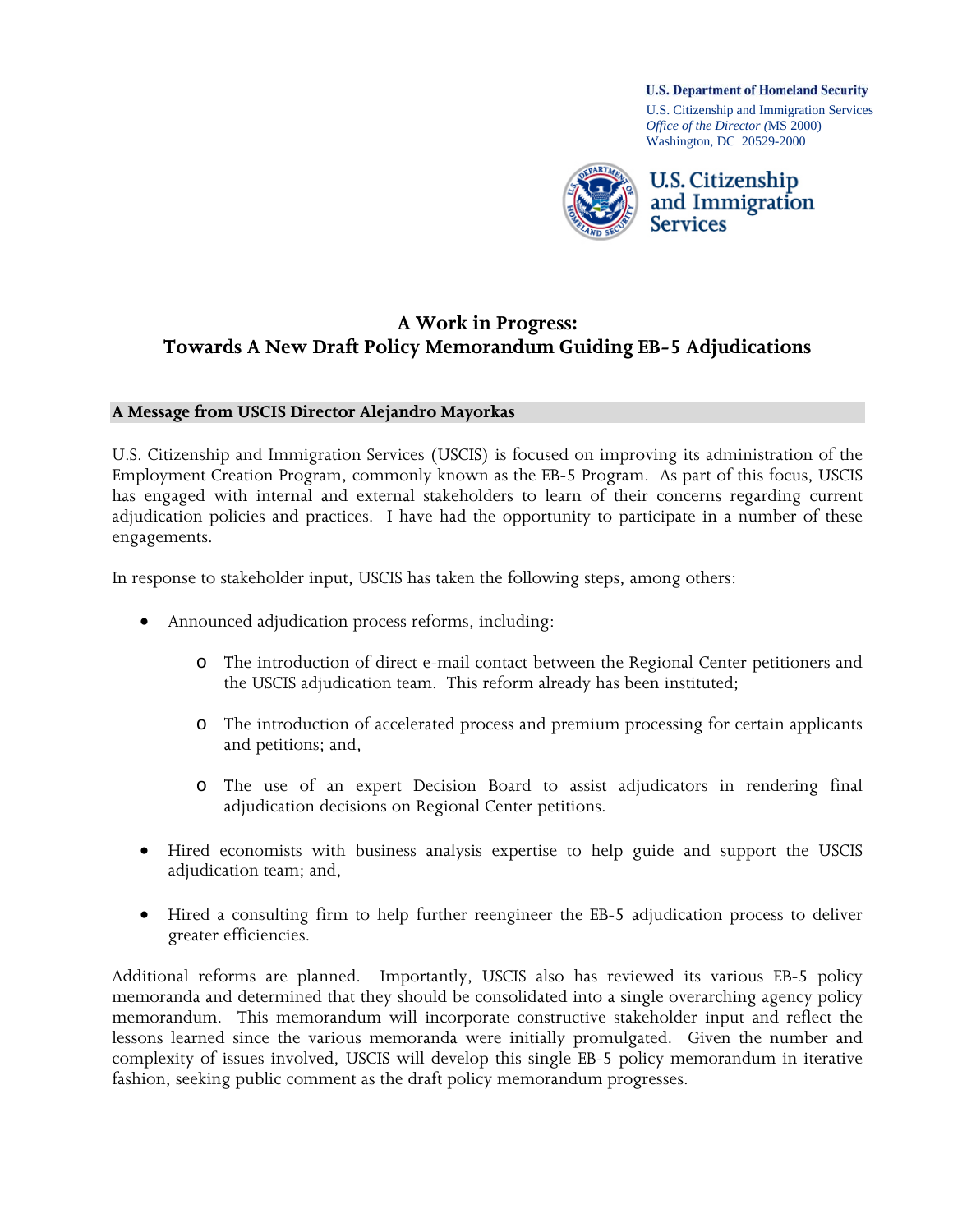**U.S. Department of Homeland Security** 

U.S. Citizenship and Immigration Services *Office of the Director (*MS 2000) Washington, DC 20529-2000



# **A Work in Progress: Towards A New Draft Policy Memorandum Guiding EB-5 Adjudications**

#### **A Message from USCIS Director Alejandro Mayorkas**

U.S. Citizenship and Immigration Services (USCIS) is focused on improving its administration of the Employment Creation Program, commonly known as the EB-5 Program. As part of this focus, USCIS has engaged with internal and external stakeholders to learn of their concerns regarding current adjudication policies and practices. I have had the opportunity to participate in a number of these engagements.

In response to stakeholder input, USCIS has taken the following steps, among others:

- Announced adjudication process reforms, including:
	- o The introduction of direct e-mail contact between the Regional Center petitioners and the USCIS adjudication team. This reform already has been instituted;
	- o The introduction of accelerated process and premium processing for certain applicants and petitions; and,
	- o The use of an expert Decision Board to assist adjudicators in rendering final adjudication decisions on Regional Center petitions.
- Hired economists with business analysis expertise to help guide and support the USCIS adjudication team; and,
- Hired a consulting firm to help further reengineer the EB-5 adjudication process to deliver greater efficiencies.

Additional reforms are planned. Importantly, USCIS also has reviewed its various EB-5 policy memoranda and determined that they should be consolidated into a single overarching agency policy memorandum. This memorandum will incorporate constructive stakeholder input and reflect the lessons learned since the various memoranda were initially promulgated. Given the number and complexity of issues involved, USCIS will develop this single EB-5 policy memorandum in iterative fashion, seeking public comment as the draft policy memorandum progresses.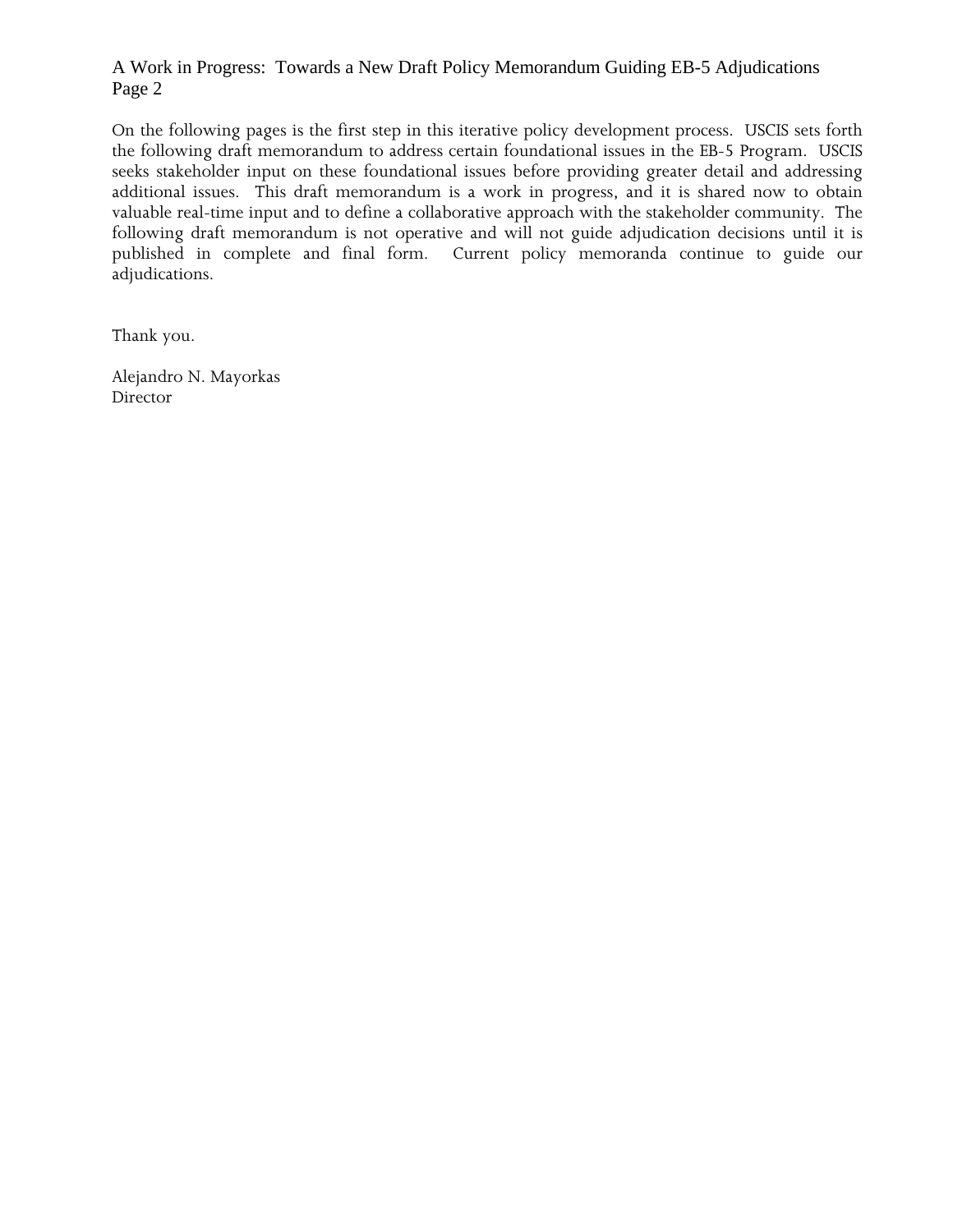#### A Work in Progress: Towards a New Draft Policy Memorandum Guiding EB-5 Adjudications Page 2

On the following pages is the first step in this iterative policy development process. USCIS sets forth the following draft memorandum to address certain foundational issues in the EB-5 Program. USCIS seeks stakeholder input on these foundational issues before providing greater detail and addressing additional issues. This draft memorandum is a work in progress, and it is shared now to obtain valuable real-time input and to define a collaborative approach with the stakeholder community. The following draft memorandum is not operative and will not guide adjudication decisions until it is published in complete and final form. Current policy memoranda continue to guide our adjudications.

Thank you.

Alejandro N. Mayorkas **Director**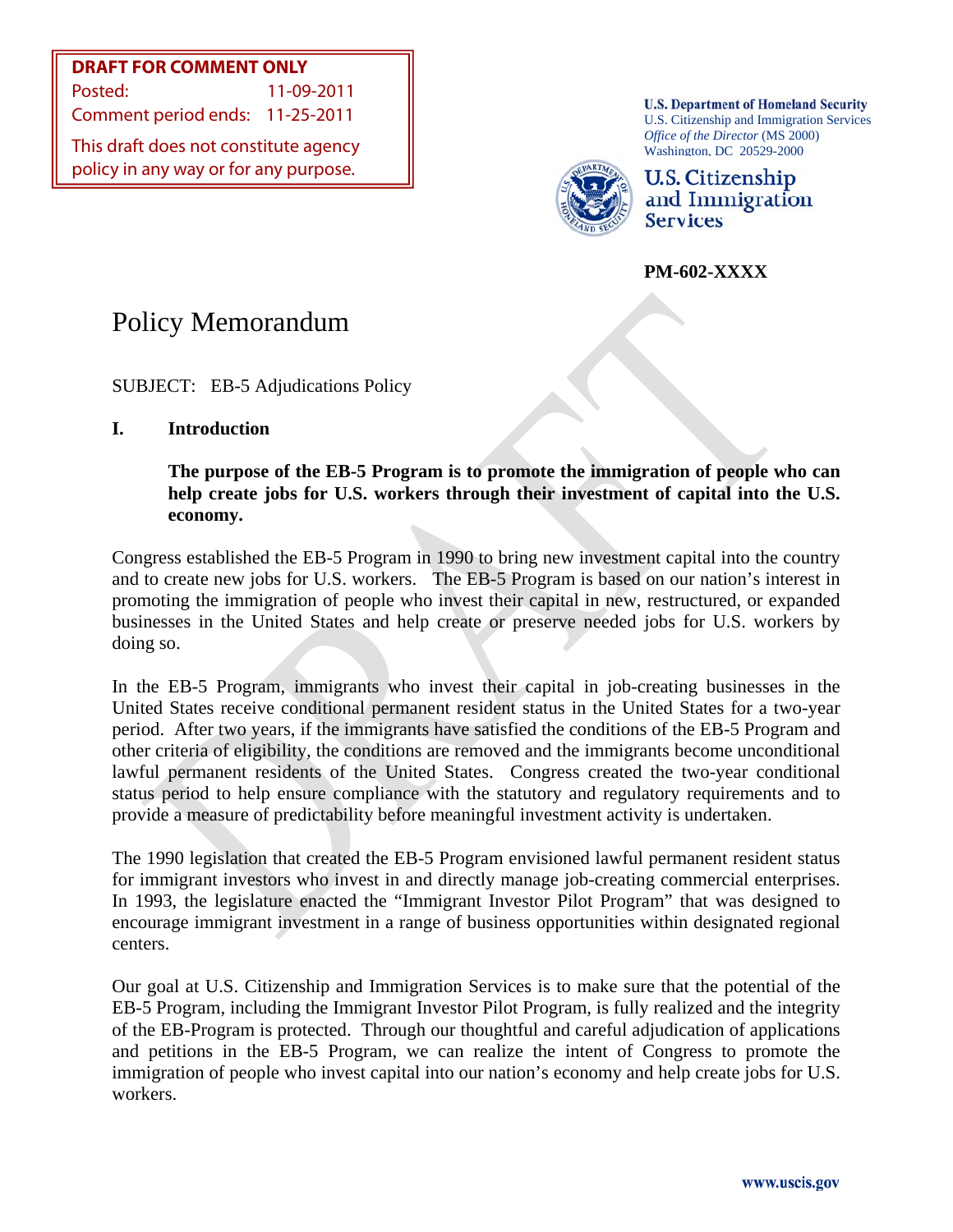**DRAFT FOR COMMENT ONLY** Posted: 11-09-2011

Comment period ends: 11-25-2011

This draft does not constitute agency policy in any way or for any purpose.

**U.S. Department of Homeland Security** U.S. Citizenship and Immigration Services *Office of the Director* (MS 2000) Washington, DC 20529-2000



U.S. Citizenship and Immigration **Services** 

**PM-602-XXXX** 

# Policy Memorandum

SUBJECT: EB-5 Adjudications Policy

**I. Introduction** 

**The purpose of the EB-5 Program is to promote the immigration of people who can help create jobs for U.S. workers through their investment of capital into the U.S. economy.** 

Congress established the EB-5 Program in 1990 to bring new investment capital into the country and to create new jobs for U.S. workers. The EB-5 Program is based on our nation's interest in promoting the immigration of people who invest their capital in new, restructured, or expanded businesses in the United States and help create or preserve needed jobs for U.S. workers by doing so.

In the EB-5 Program, immigrants who invest their capital in job-creating businesses in the United States receive conditional permanent resident status in the United States for a two-year period. After two years, if the immigrants have satisfied the conditions of the EB-5 Program and other criteria of eligibility, the conditions are removed and the immigrants become unconditional lawful permanent residents of the United States. Congress created the two-year conditional status period to help ensure compliance with the statutory and regulatory requirements and to provide a measure of predictability before meaningful investment activity is undertaken.

The 1990 legislation that created the EB-5 Program envisioned lawful permanent resident status for immigrant investors who invest in and directly manage job-creating commercial enterprises. In 1993, the legislature enacted the "Immigrant Investor Pilot Program" that was designed to encourage immigrant investment in a range of business opportunities within designated regional centers.

Our goal at U.S. Citizenship and Immigration Services is to make sure that the potential of the EB-5 Program, including the Immigrant Investor Pilot Program, is fully realized and the integrity of the EB-Program is protected. Through our thoughtful and careful adjudication of applications and petitions in the EB-5 Program, we can realize the intent of Congress to promote the immigration of people who invest capital into our nation's economy and help create jobs for U.S. workers.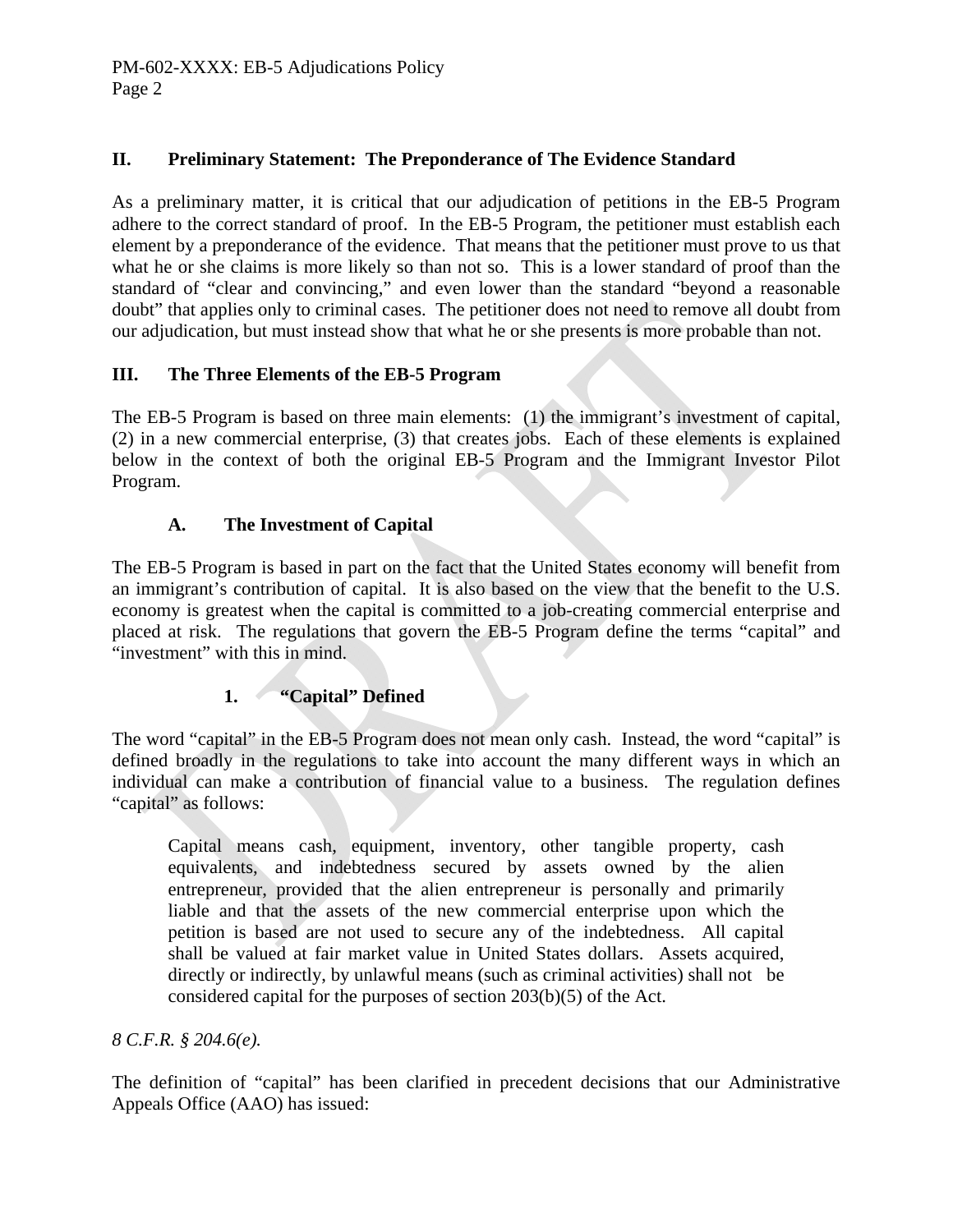# **II. Preliminary Statement: The Preponderance of The Evidence Standard**

As a preliminary matter, it is critical that our adjudication of petitions in the EB-5 Program adhere to the correct standard of proof. In the EB-5 Program, the petitioner must establish each element by a preponderance of the evidence. That means that the petitioner must prove to us that what he or she claims is more likely so than not so. This is a lower standard of proof than the standard of "clear and convincing," and even lower than the standard "beyond a reasonable doubt" that applies only to criminal cases. The petitioner does not need to remove all doubt from our adjudication, but must instead show that what he or she presents is more probable than not.

# **III. The Three Elements of the EB-5 Program**

The EB-5 Program is based on three main elements: (1) the immigrant's investment of capital, (2) in a new commercial enterprise, (3) that creates jobs. Each of these elements is explained below in the context of both the original EB-5 Program and the Immigrant Investor Pilot Program.

# **A. The Investment of Capital**

The EB-5 Program is based in part on the fact that the United States economy will benefit from an immigrant's contribution of capital. It is also based on the view that the benefit to the U.S. economy is greatest when the capital is committed to a job-creating commercial enterprise and placed at risk. The regulations that govern the EB-5 Program define the terms "capital" and "investment" with this in mind.

# **1. "Capital" Defined**

The word "capital" in the EB-5 Program does not mean only cash. Instead, the word "capital" is defined broadly in the regulations to take into account the many different ways in which an individual can make a contribution of financial value to a business. The regulation defines "capital" as follows:

 Capital means cash, equipment, inventory, other tangible property, cash equivalents, and indebtedness secured by assets owned by the alien entrepreneur, provided that the alien entrepreneur is personally and primarily liable and that the assets of the new commercial enterprise upon which the petition is based are not used to secure any of the indebtedness. All capital shall be valued at fair market value in United States dollars. Assets acquired, directly or indirectly, by unlawful means (such as criminal activities) shall not be considered capital for the purposes of section 203(b)(5) of the Act.

# *8 C.F.R. § 204.6(e).*

The definition of "capital" has been clarified in precedent decisions that our Administrative Appeals Office (AAO) has issued: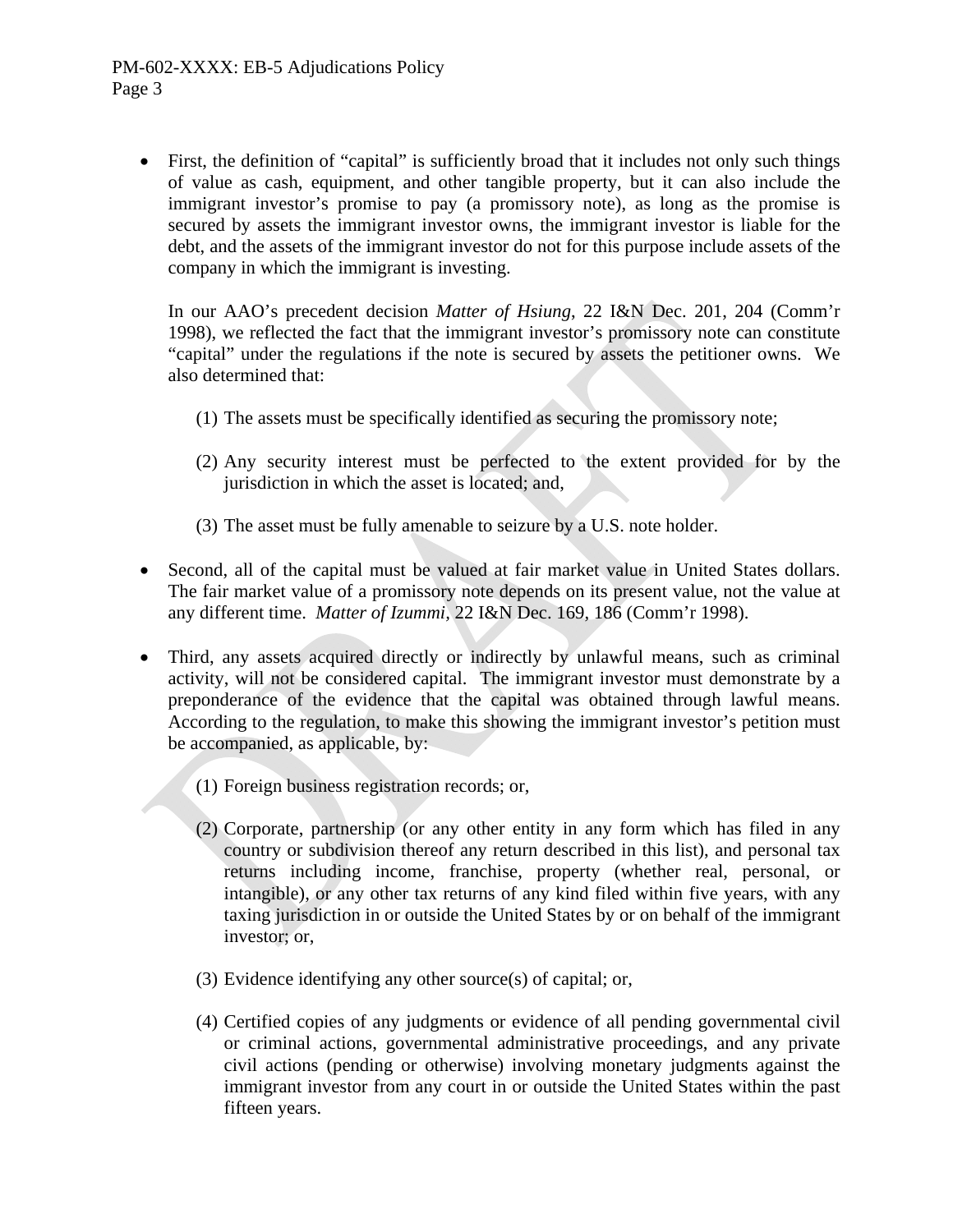First, the definition of "capital" is sufficiently broad that it includes not only such things of value as cash, equipment, and other tangible property, but it can also include the immigrant investor's promise to pay (a promissory note), as long as the promise is secured by assets the immigrant investor owns, the immigrant investor is liable for the debt, and the assets of the immigrant investor do not for this purpose include assets of the company in which the immigrant is investing.

In our AAO's precedent decision *Matter of Hsiung*, 22 I&N Dec. 201, 204 (Comm'r 1998), we reflected the fact that the immigrant investor's promissory note can constitute "capital" under the regulations if the note is secured by assets the petitioner owns. We also determined that:

- (1) The assets must be specifically identified as securing the promissory note;
- (2) Any security interest must be perfected to the extent provided for by the jurisdiction in which the asset is located; and,
- (3) The asset must be fully amenable to seizure by a U.S. note holder.
- Second, all of the capital must be valued at fair market value in United States dollars. The fair market value of a promissory note depends on its present value, not the value at any different time. *Matter of Izummi,* 22 I&N Dec. 169, 186 (Comm'r 1998).
- Third, any assets acquired directly or indirectly by unlawful means, such as criminal activity, will not be considered capital. The immigrant investor must demonstrate by a preponderance of the evidence that the capital was obtained through lawful means. According to the regulation, to make this showing the immigrant investor's petition must be accompanied, as applicable, by:
	- (1) Foreign business registration records; or,
	- (2) Corporate, partnership (or any other entity in any form which has filed in any country or subdivision thereof any return described in this list), and personal tax returns including income, franchise, property (whether real, personal, or intangible), or any other tax returns of any kind filed within five years, with any taxing jurisdiction in or outside the United States by or on behalf of the immigrant investor; or,
	- (3) Evidence identifying any other source(s) of capital; or,
	- (4) Certified copies of any judgments or evidence of all pending governmental civil or criminal actions, governmental administrative proceedings, and any private civil actions (pending or otherwise) involving monetary judgments against the immigrant investor from any court in or outside the United States within the past fifteen years.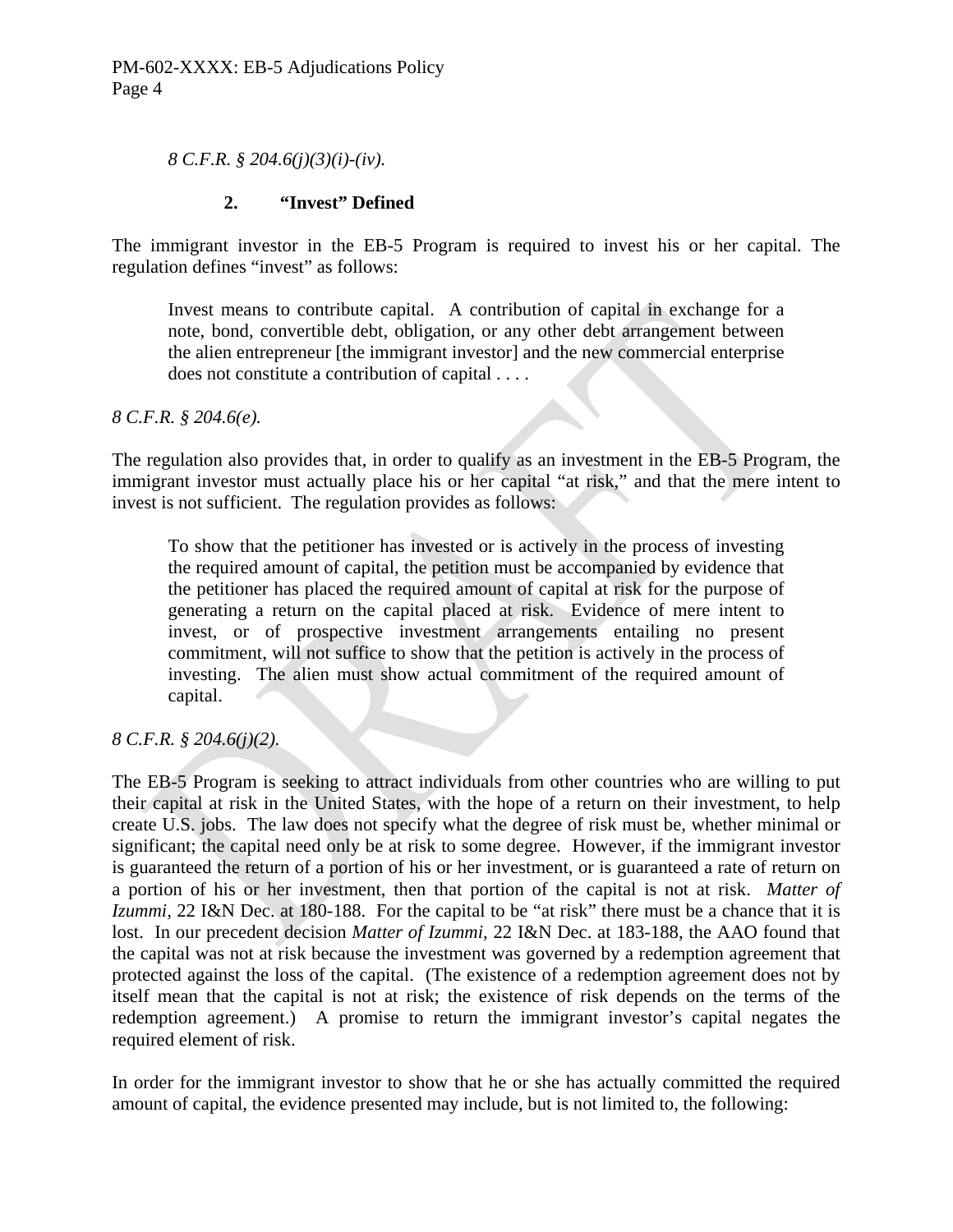*8 C.F.R. § 204.6(j)(3)(i)-(iv).*

#### **2. "Invest" Defined**

The immigrant investor in the EB-5 Program is required to invest his or her capital. The regulation defines "invest" as follows:

Invest means to contribute capital. A contribution of capital in exchange for a note, bond, convertible debt, obligation, or any other debt arrangement between the alien entrepreneur [the immigrant investor] and the new commercial enterprise does not constitute a contribution of capital . . . .

*8 C.F.R. § 204.6(e).*

The regulation also provides that, in order to qualify as an investment in the EB-5 Program, the immigrant investor must actually place his or her capital "at risk," and that the mere intent to invest is not sufficient. The regulation provides as follows:

 To show that the petitioner has invested or is actively in the process of investing the required amount of capital, the petition must be accompanied by evidence that the petitioner has placed the required amount of capital at risk for the purpose of generating a return on the capital placed at risk. Evidence of mere intent to invest, or of prospective investment arrangements entailing no present commitment, will not suffice to show that the petition is actively in the process of investing. The alien must show actual commitment of the required amount of capital.

*8 C.F.R. § 204.6(j)(2).*

The EB-5 Program is seeking to attract individuals from other countries who are willing to put their capital at risk in the United States, with the hope of a return on their investment, to help create U.S. jobs. The law does not specify what the degree of risk must be, whether minimal or significant; the capital need only be at risk to some degree. However, if the immigrant investor is guaranteed the return of a portion of his or her investment, or is guaranteed a rate of return on a portion of his or her investment, then that portion of the capital is not at risk. *Matter of Izummi,* 22 I&N Dec. at 180-188. For the capital to be "at risk" there must be a chance that it is lost. In our precedent decision *Matter of Izummi*, 22 I&N Dec. at 183-188, the AAO found that the capital was not at risk because the investment was governed by a redemption agreement that protected against the loss of the capital. (The existence of a redemption agreement does not by itself mean that the capital is not at risk; the existence of risk depends on the terms of the redemption agreement.) A promise to return the immigrant investor's capital negates the required element of risk.

In order for the immigrant investor to show that he or she has actually committed the required amount of capital, the evidence presented may include, but is not limited to, the following: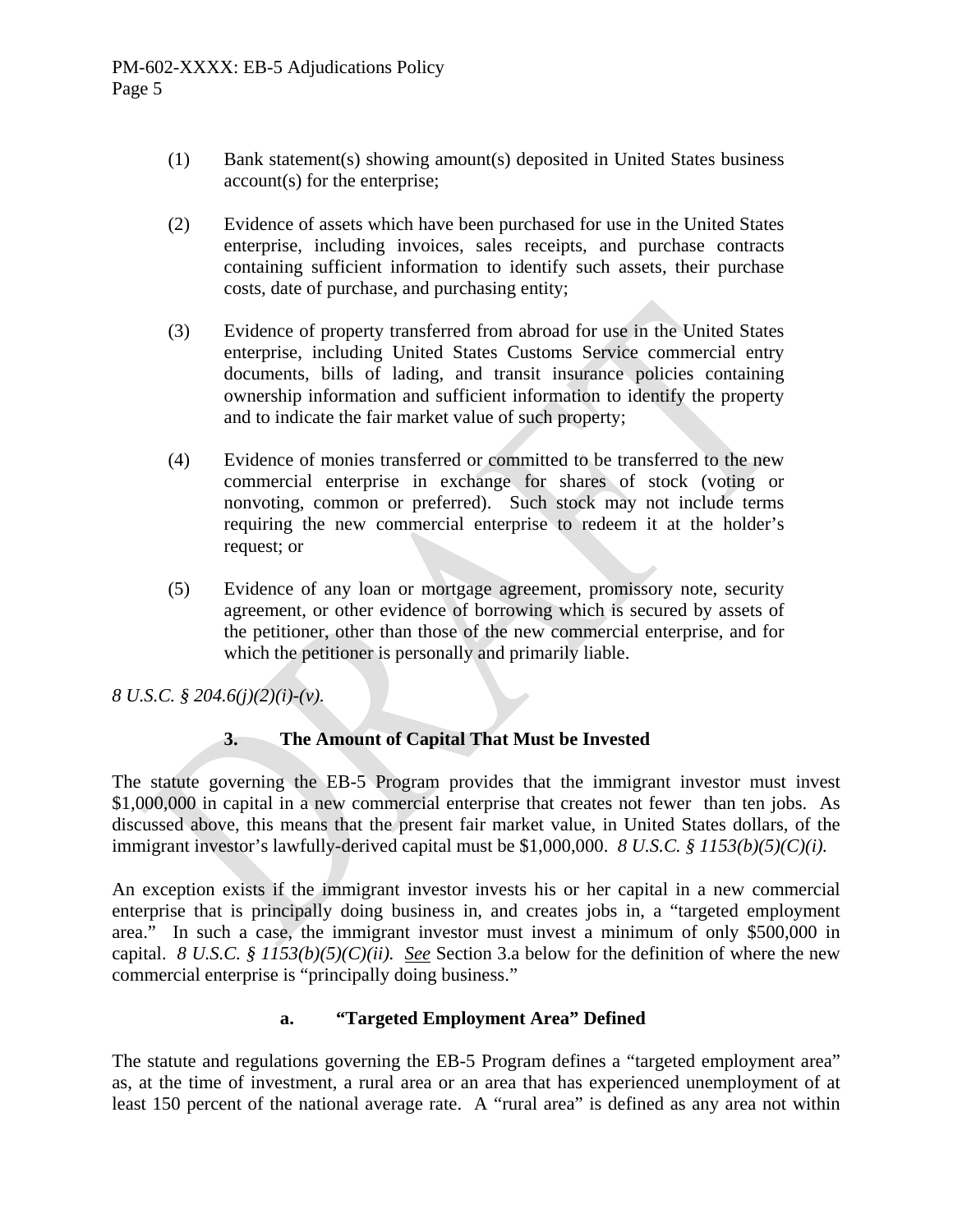- (1) Bank statement(s) showing amount(s) deposited in United States business account(s) for the enterprise;
- (2) Evidence of assets which have been purchased for use in the United States enterprise, including invoices, sales receipts, and purchase contracts containing sufficient information to identify such assets, their purchase costs, date of purchase, and purchasing entity;
- (3) Evidence of property transferred from abroad for use in the United States enterprise, including United States Customs Service commercial entry documents, bills of lading, and transit insurance policies containing ownership information and sufficient information to identify the property and to indicate the fair market value of such property;
- (4) Evidence of monies transferred or committed to be transferred to the new commercial enterprise in exchange for shares of stock (voting or nonvoting, common or preferred). Such stock may not include terms requiring the new commercial enterprise to redeem it at the holder's request; or
- (5) Evidence of any loan or mortgage agreement, promissory note, security agreement, or other evidence of borrowing which is secured by assets of the petitioner, other than those of the new commercial enterprise, and for which the petitioner is personally and primarily liable.

*8 U.S.C. § 204.6(j)(2)(i)-(v).*

# **3. The Amount of Capital That Must be Invested**

The statute governing the EB-5 Program provides that the immigrant investor must invest \$1,000,000 in capital in a new commercial enterprise that creates not fewer than ten jobs. As discussed above, this means that the present fair market value, in United States dollars, of the immigrant investor's lawfully-derived capital must be \$1,000,000. *8 U.S.C. § 1153(b)(5)(C)(i).*

An exception exists if the immigrant investor invests his or her capital in a new commercial enterprise that is principally doing business in, and creates jobs in, a "targeted employment area." In such a case, the immigrant investor must invest a minimum of only \$500,000 in capital. *8 U.S.C. § 1153(b)(5)(C)(ii). See* Section 3.a below for the definition of where the new commercial enterprise is "principally doing business."

#### **a. "Targeted Employment Area" Defined**

The statute and regulations governing the EB-5 Program defines a "targeted employment area" as, at the time of investment, a rural area or an area that has experienced unemployment of at least 150 percent of the national average rate. A "rural area" is defined as any area not within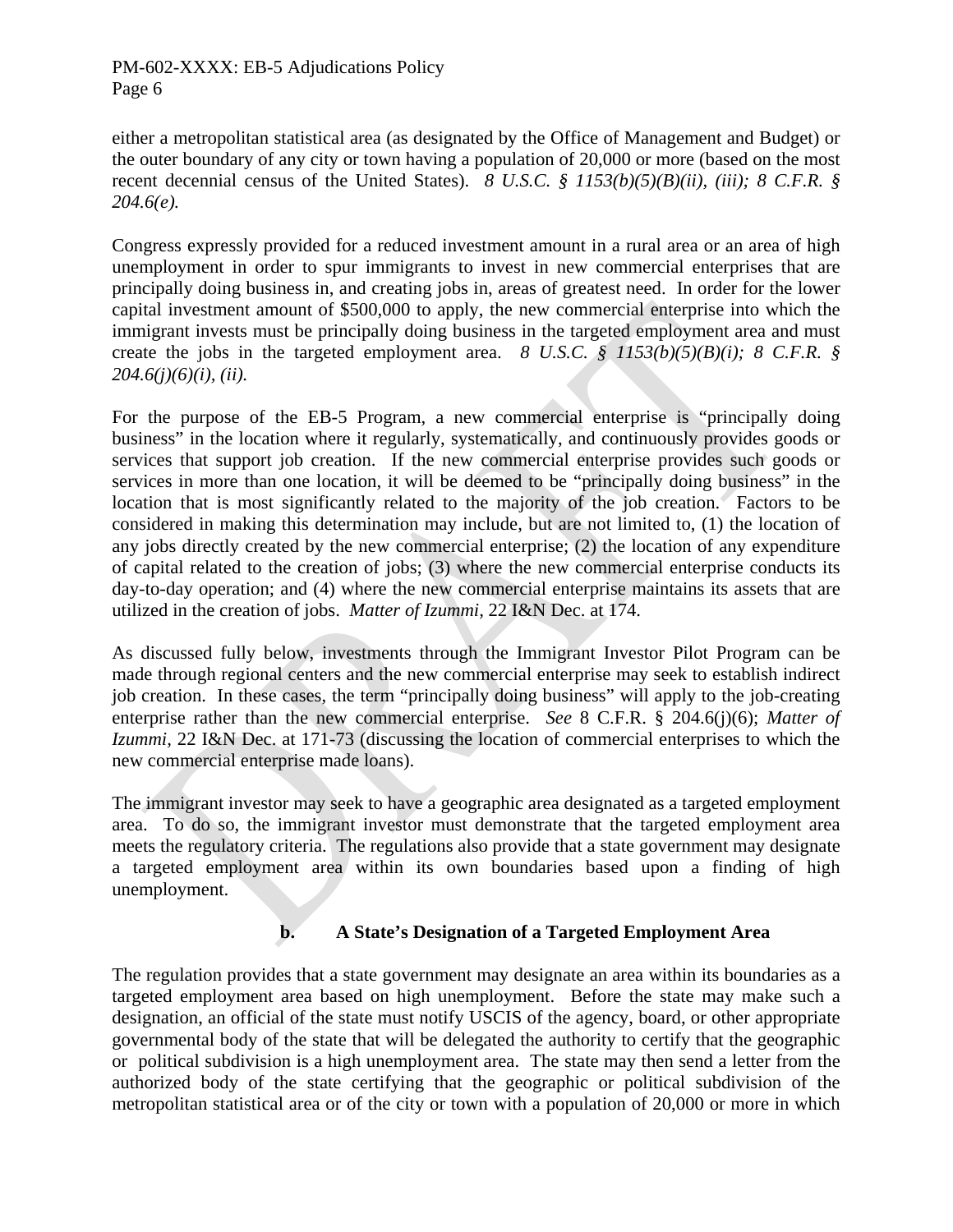either a metropolitan statistical area (as designated by the Office of Management and Budget) or the outer boundary of any city or town having a population of 20,000 or more (based on the most recent decennial census of the United States). *8 U.S.C. § 1153(b)(5)(B)(ii), (iii); 8 C.F.R. § 204.6(e).* 

Congress expressly provided for a reduced investment amount in a rural area or an area of high unemployment in order to spur immigrants to invest in new commercial enterprises that are principally doing business in, and creating jobs in, areas of greatest need. In order for the lower capital investment amount of \$500,000 to apply, the new commercial enterprise into which the immigrant invests must be principally doing business in the targeted employment area and must create the jobs in the targeted employment area. *8 U.S.C. § 1153(b)(5)(B)(i); 8 C.F.R. § 204.6(j)(6)(i), (ii).*

For the purpose of the EB-5 Program, a new commercial enterprise is "principally doing business" in the location where it regularly, systematically, and continuously provides goods or services that support job creation. If the new commercial enterprise provides such goods or services in more than one location, it will be deemed to be "principally doing business" in the location that is most significantly related to the majority of the job creation. Factors to be considered in making this determination may include, but are not limited to, (1) the location of any jobs directly created by the new commercial enterprise; (2) the location of any expenditure of capital related to the creation of jobs; (3) where the new commercial enterprise conducts its day-to-day operation; and (4) where the new commercial enterprise maintains its assets that are utilized in the creation of jobs. *Matter of Izummi,* 22 I&N Dec. at 174.

As discussed fully below, investments through the Immigrant Investor Pilot Program can be made through regional centers and the new commercial enterprise may seek to establish indirect job creation. In these cases, the term "principally doing business" will apply to the job-creating enterprise rather than the new commercial enterprise. *See* 8 C.F.R. § 204.6(j)(6); *Matter of Izummi,* 22 I&N Dec. at 171-73 (discussing the location of commercial enterprises to which the new commercial enterprise made loans).

The immigrant investor may seek to have a geographic area designated as a targeted employment area. To do so, the immigrant investor must demonstrate that the targeted employment area meets the regulatory criteria. The regulations also provide that a state government may designate a targeted employment area within its own boundaries based upon a finding of high unemployment.

# **b. A State's Designation of a Targeted Employment Area**

The regulation provides that a state government may designate an area within its boundaries as a targeted employment area based on high unemployment. Before the state may make such a designation, an official of the state must notify USCIS of the agency, board, or other appropriate governmental body of the state that will be delegated the authority to certify that the geographic or political subdivision is a high unemployment area. The state may then send a letter from the authorized body of the state certifying that the geographic or political subdivision of the metropolitan statistical area or of the city or town with a population of 20,000 or more in which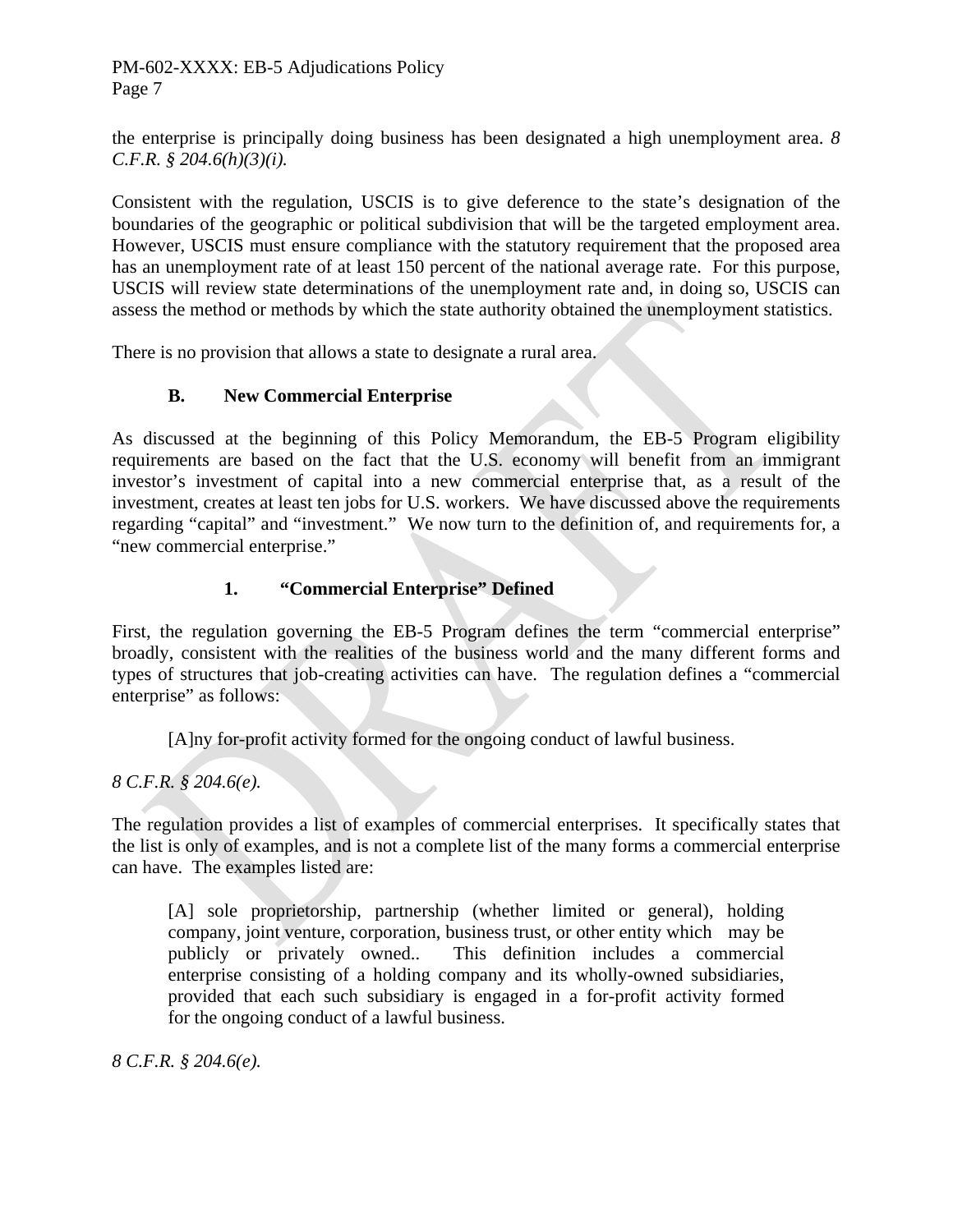the enterprise is principally doing business has been designated a high unemployment area. *8 C.F.R. § 204.6(h)(3)(i).* 

Consistent with the regulation, USCIS is to give deference to the state's designation of the boundaries of the geographic or political subdivision that will be the targeted employment area. However, USCIS must ensure compliance with the statutory requirement that the proposed area has an unemployment rate of at least 150 percent of the national average rate. For this purpose, USCIS will review state determinations of the unemployment rate and, in doing so, USCIS can assess the method or methods by which the state authority obtained the unemployment statistics.

There is no provision that allows a state to designate a rural area.

# **B. New Commercial Enterprise**

As discussed at the beginning of this Policy Memorandum, the EB-5 Program eligibility requirements are based on the fact that the U.S. economy will benefit from an immigrant investor's investment of capital into a new commercial enterprise that, as a result of the investment, creates at least ten jobs for U.S. workers. We have discussed above the requirements regarding "capital" and "investment." We now turn to the definition of, and requirements for, a "new commercial enterprise."

# **1. "Commercial Enterprise" Defined**

First, the regulation governing the EB-5 Program defines the term "commercial enterprise" broadly, consistent with the realities of the business world and the many different forms and types of structures that job-creating activities can have. The regulation defines a "commercial enterprise" as follows:

[A]ny for-profit activity formed for the ongoing conduct of lawful business.

*8 C.F.R. § 204.6(e).*

The regulation provides a list of examples of commercial enterprises. It specifically states that the list is only of examples, and is not a complete list of the many forms a commercial enterprise can have. The examples listed are:

 [A] sole proprietorship, partnership (whether limited or general), holding company, joint venture, corporation, business trust, or other entity which may be publicly or privately owned.. This definition includes a commercial enterprise consisting of a holding company and its wholly-owned subsidiaries, provided that each such subsidiary is engaged in a for-profit activity formed for the ongoing conduct of a lawful business.

*8 C.F.R. § 204.6(e).*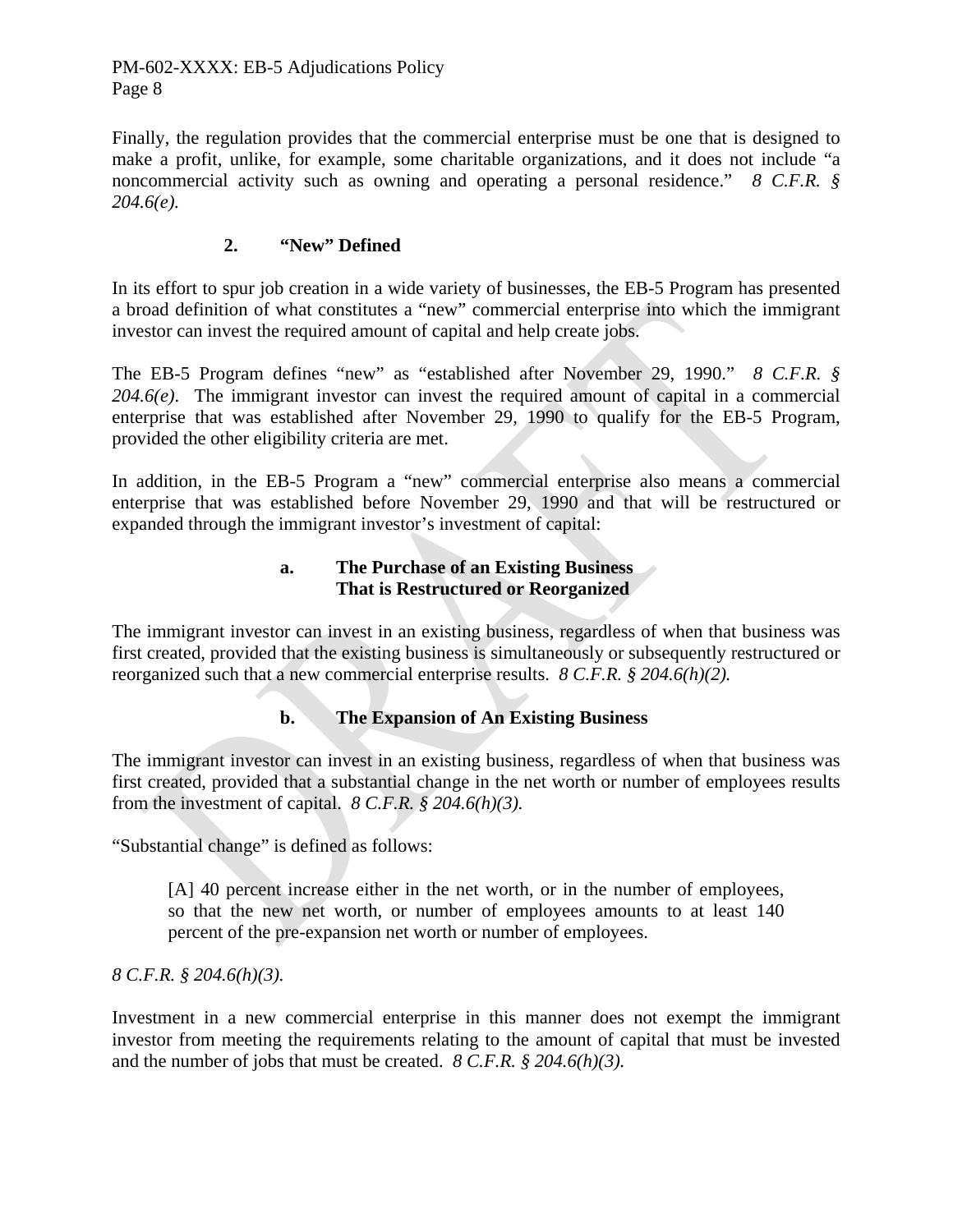Finally, the regulation provides that the commercial enterprise must be one that is designed to make a profit, unlike, for example, some charitable organizations, and it does not include "a noncommercial activity such as owning and operating a personal residence." *8 C.F.R. § 204.6(e).*

# **2. "New" Defined**

In its effort to spur job creation in a wide variety of businesses, the EB-5 Program has presented a broad definition of what constitutes a "new" commercial enterprise into which the immigrant investor can invest the required amount of capital and help create jobs.

The EB-5 Program defines "new" as "established after November 29, 1990." *8 C.F.R. § 204.6(e)*. The immigrant investor can invest the required amount of capital in a commercial enterprise that was established after November 29, 1990 to qualify for the EB-5 Program, provided the other eligibility criteria are met.

In addition, in the EB-5 Program a "new" commercial enterprise also means a commercial enterprise that was established before November 29, 1990 and that will be restructured or expanded through the immigrant investor's investment of capital:

#### **a. The Purchase of an Existing Business That is Restructured or Reorganized**

The immigrant investor can invest in an existing business, regardless of when that business was first created, provided that the existing business is simultaneously or subsequently restructured or reorganized such that a new commercial enterprise results. *8 C.F.R. § 204.6(h)(2).*

# **b. The Expansion of An Existing Business**

The immigrant investor can invest in an existing business, regardless of when that business was first created, provided that a substantial change in the net worth or number of employees results from the investment of capital. *8 C.F.R. § 204.6(h)(3).*

"Substantial change" is defined as follows:

 [A] 40 percent increase either in the net worth, or in the number of employees, so that the new net worth, or number of employees amounts to at least 140 percent of the pre-expansion net worth or number of employees.

*8 C.F.R. § 204.6(h)(3).*

Investment in a new commercial enterprise in this manner does not exempt the immigrant investor from meeting the requirements relating to the amount of capital that must be invested and the number of jobs that must be created. *8 C.F.R. § 204.6(h)(3).*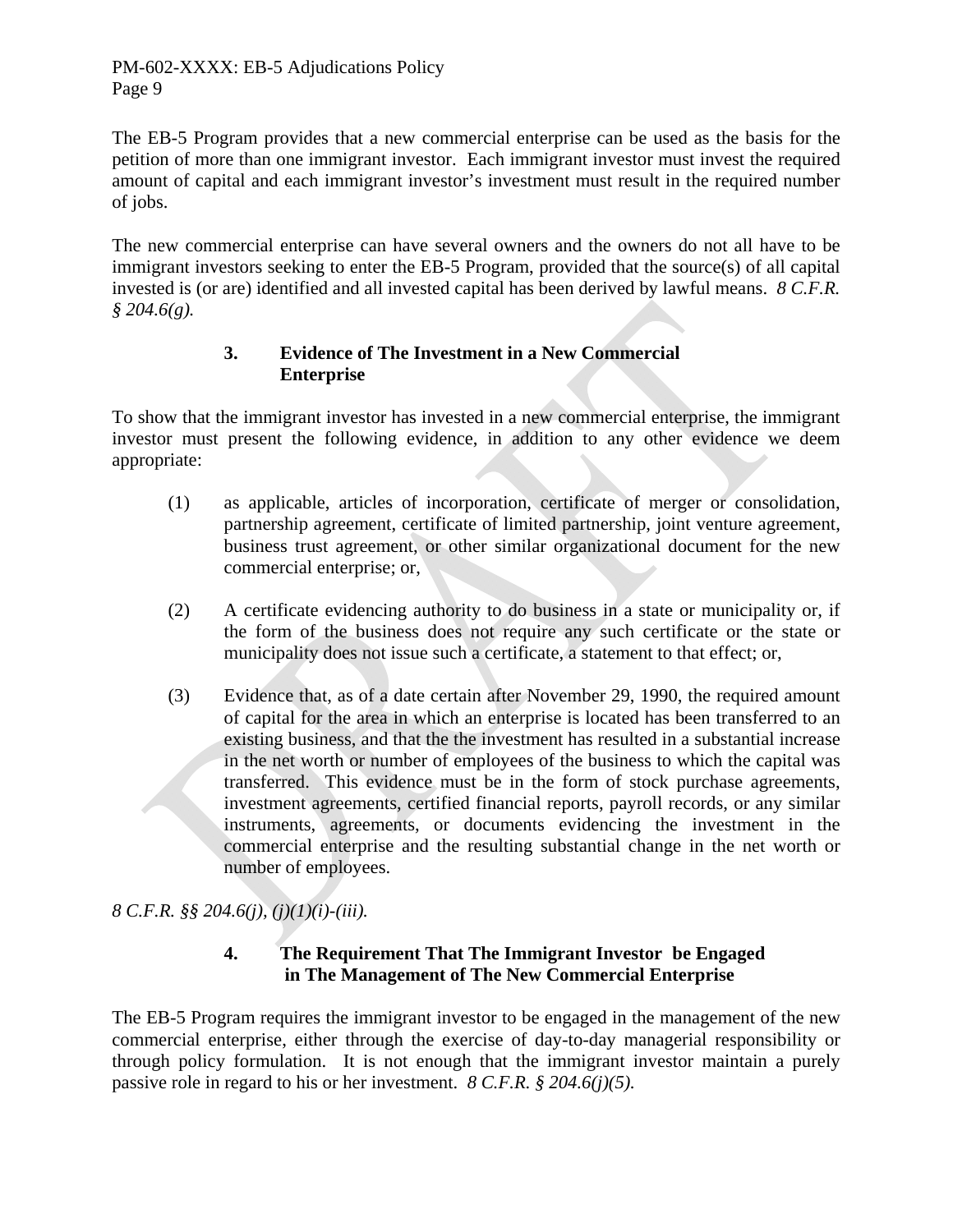The EB-5 Program provides that a new commercial enterprise can be used as the basis for the petition of more than one immigrant investor. Each immigrant investor must invest the required amount of capital and each immigrant investor's investment must result in the required number of jobs.

The new commercial enterprise can have several owners and the owners do not all have to be immigrant investors seeking to enter the EB-5 Program, provided that the source(s) of all capital invested is (or are) identified and all invested capital has been derived by lawful means. *8 C.F.R. § 204.6(g).* 

# **3. Evidence of The Investment in a New Commercial Enterprise**

To show that the immigrant investor has invested in a new commercial enterprise, the immigrant investor must present the following evidence, in addition to any other evidence we deem appropriate:

- (1) as applicable, articles of incorporation, certificate of merger or consolidation, partnership agreement, certificate of limited partnership, joint venture agreement, business trust agreement, or other similar organizational document for the new commercial enterprise; or,
- (2) A certificate evidencing authority to do business in a state or municipality or, if the form of the business does not require any such certificate or the state or municipality does not issue such a certificate, a statement to that effect; or,
- (3) Evidence that, as of a date certain after November 29, 1990, the required amount of capital for the area in which an enterprise is located has been transferred to an existing business, and that the the investment has resulted in a substantial increase in the net worth or number of employees of the business to which the capital was transferred. This evidence must be in the form of stock purchase agreements, investment agreements, certified financial reports, payroll records, or any similar instruments, agreements, or documents evidencing the investment in the commercial enterprise and the resulting substantial change in the net worth or number of employees.

*8 C.F.R. §§ 204.6(j), (j)(1)(i)-(iii).*

# **4. The Requirement That The Immigrant Investor be Engaged in The Management of The New Commercial Enterprise**

The EB-5 Program requires the immigrant investor to be engaged in the management of the new commercial enterprise, either through the exercise of day-to-day managerial responsibility or through policy formulation. It is not enough that the immigrant investor maintain a purely passive role in regard to his or her investment. *8 C.F.R. § 204.6(j)(5).*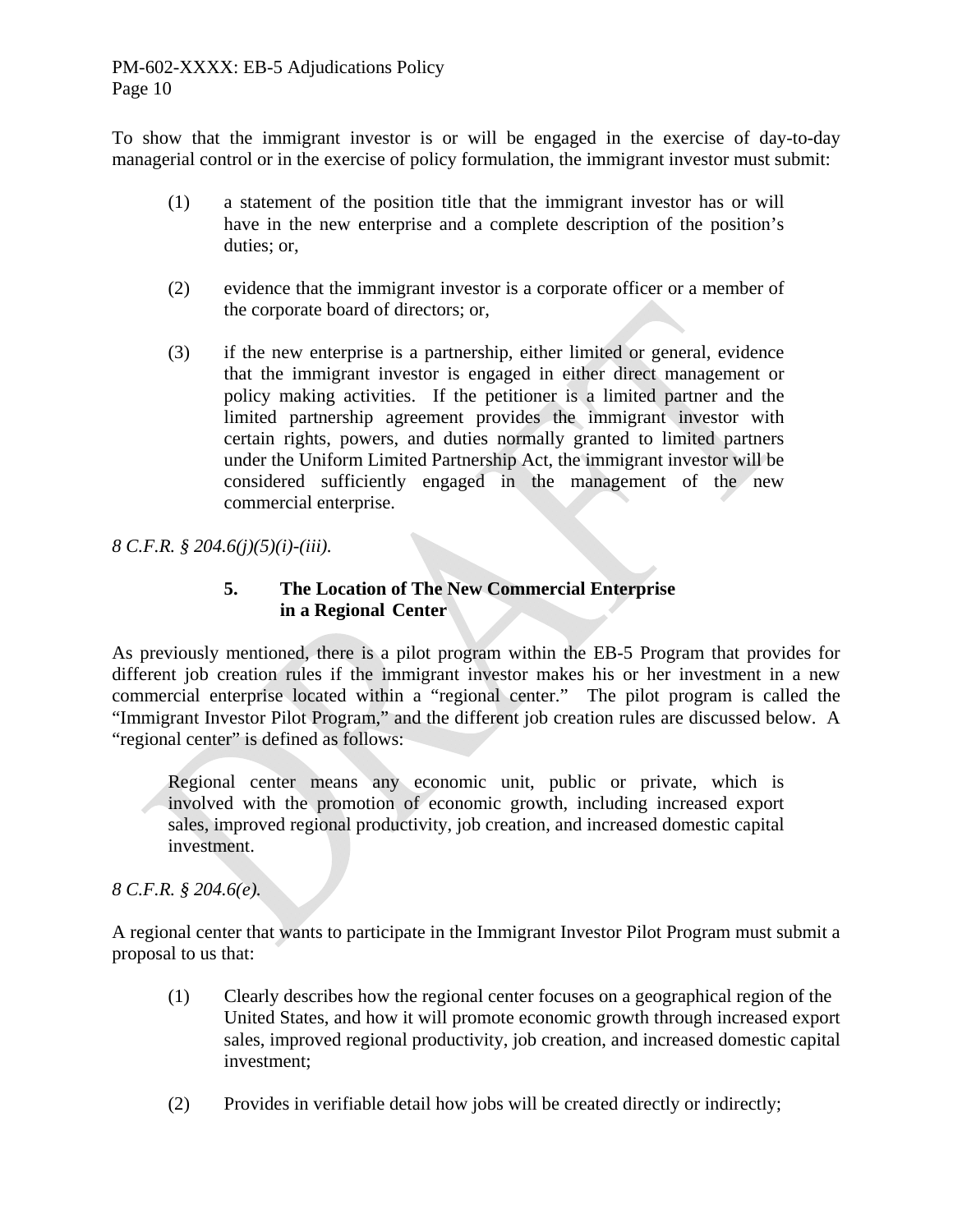To show that the immigrant investor is or will be engaged in the exercise of day-to-day managerial control or in the exercise of policy formulation, the immigrant investor must submit:

- (1) a statement of the position title that the immigrant investor has or will have in the new enterprise and a complete description of the position's duties; or,
- (2) evidence that the immigrant investor is a corporate officer or a member of the corporate board of directors; or,
- (3) if the new enterprise is a partnership, either limited or general, evidence that the immigrant investor is engaged in either direct management or policy making activities. If the petitioner is a limited partner and the limited partnership agreement provides the immigrant investor with certain rights, powers, and duties normally granted to limited partners under the Uniform Limited Partnership Act, the immigrant investor will be considered sufficiently engaged in the management of the new commercial enterprise.

*8 C.F.R. § 204.6(j)(5)(i)-(iii).*

#### **5. The Location of The New Commercial Enterprise in a Regional Center**

As previously mentioned, there is a pilot program within the EB-5 Program that provides for different job creation rules if the immigrant investor makes his or her investment in a new commercial enterprise located within a "regional center." The pilot program is called the "Immigrant Investor Pilot Program," and the different job creation rules are discussed below. A "regional center" is defined as follows:

 Regional center means any economic unit, public or private, which is involved with the promotion of economic growth, including increased export sales, improved regional productivity, job creation, and increased domestic capital investment.

*8 C.F.R. § 204.6(e).*

A regional center that wants to participate in the Immigrant Investor Pilot Program must submit a proposal to us that:

- (1) Clearly describes how the regional center focuses on a geographical region of the United States, and how it will promote economic growth through increased export sales, improved regional productivity, job creation, and increased domestic capital investment;
- (2) Provides in verifiable detail how jobs will be created directly or indirectly;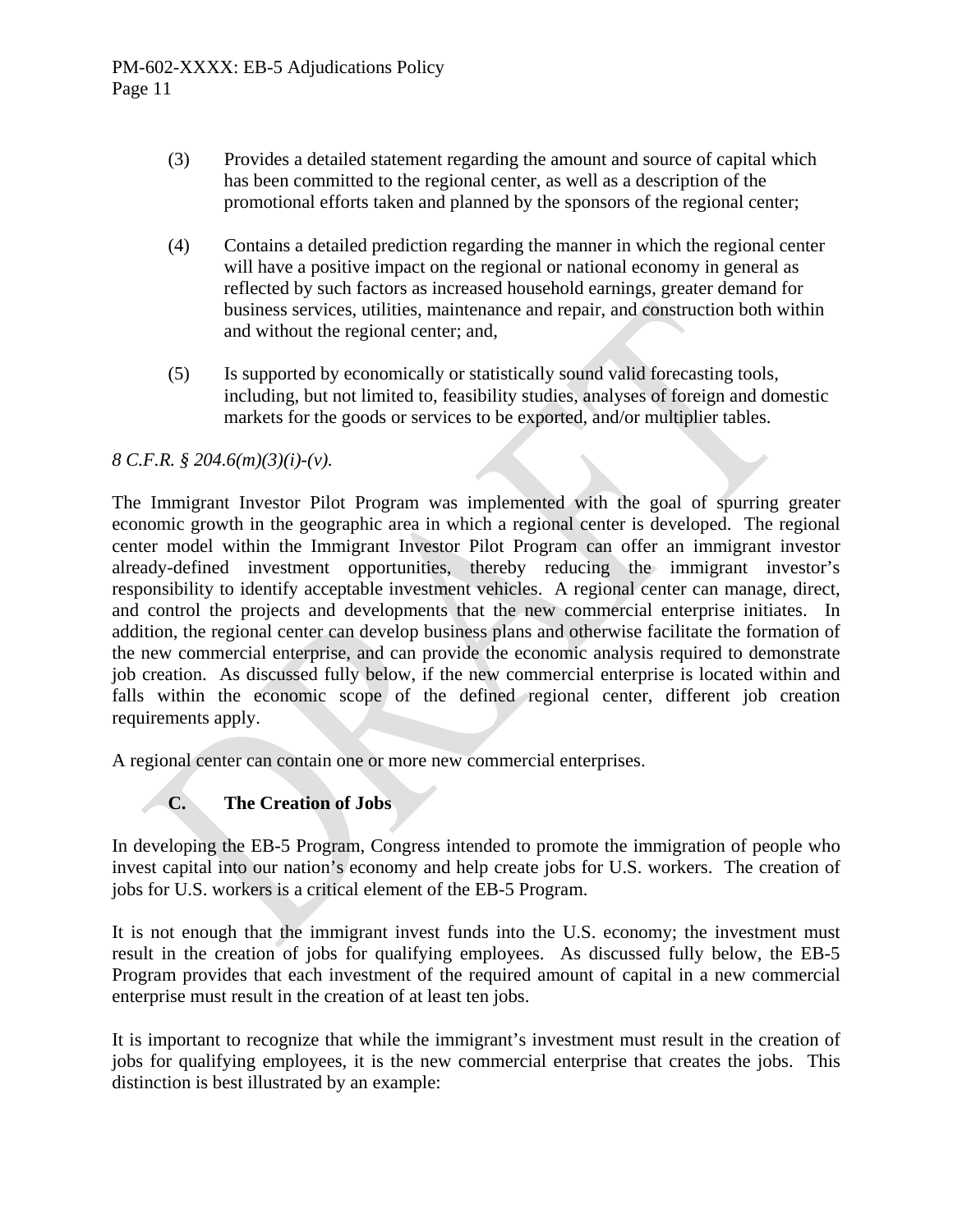- (3) Provides a detailed statement regarding the amount and source of capital which has been committed to the regional center, as well as a description of the promotional efforts taken and planned by the sponsors of the regional center;
- (4) Contains a detailed prediction regarding the manner in which the regional center will have a positive impact on the regional or national economy in general as reflected by such factors as increased household earnings, greater demand for business services, utilities, maintenance and repair, and construction both within and without the regional center; and,
- (5) Is supported by economically or statistically sound valid forecasting tools, including, but not limited to, feasibility studies, analyses of foreign and domestic markets for the goods or services to be exported, and/or multiplier tables.

# *8 C.F.R. § 204.6(m)(3)(i)-(v).*

The Immigrant Investor Pilot Program was implemented with the goal of spurring greater economic growth in the geographic area in which a regional center is developed. The regional center model within the Immigrant Investor Pilot Program can offer an immigrant investor already-defined investment opportunities, thereby reducing the immigrant investor's responsibility to identify acceptable investment vehicles. A regional center can manage, direct, and control the projects and developments that the new commercial enterprise initiates. In addition, the regional center can develop business plans and otherwise facilitate the formation of the new commercial enterprise, and can provide the economic analysis required to demonstrate job creation. As discussed fully below, if the new commercial enterprise is located within and falls within the economic scope of the defined regional center, different job creation requirements apply.

A regional center can contain one or more new commercial enterprises.

# **C. The Creation of Jobs**

In developing the EB-5 Program, Congress intended to promote the immigration of people who invest capital into our nation's economy and help create jobs for U.S. workers. The creation of jobs for U.S. workers is a critical element of the EB-5 Program.

It is not enough that the immigrant invest funds into the U.S. economy; the investment must result in the creation of jobs for qualifying employees. As discussed fully below, the EB-5 Program provides that each investment of the required amount of capital in a new commercial enterprise must result in the creation of at least ten jobs.

It is important to recognize that while the immigrant's investment must result in the creation of jobs for qualifying employees, it is the new commercial enterprise that creates the jobs. This distinction is best illustrated by an example: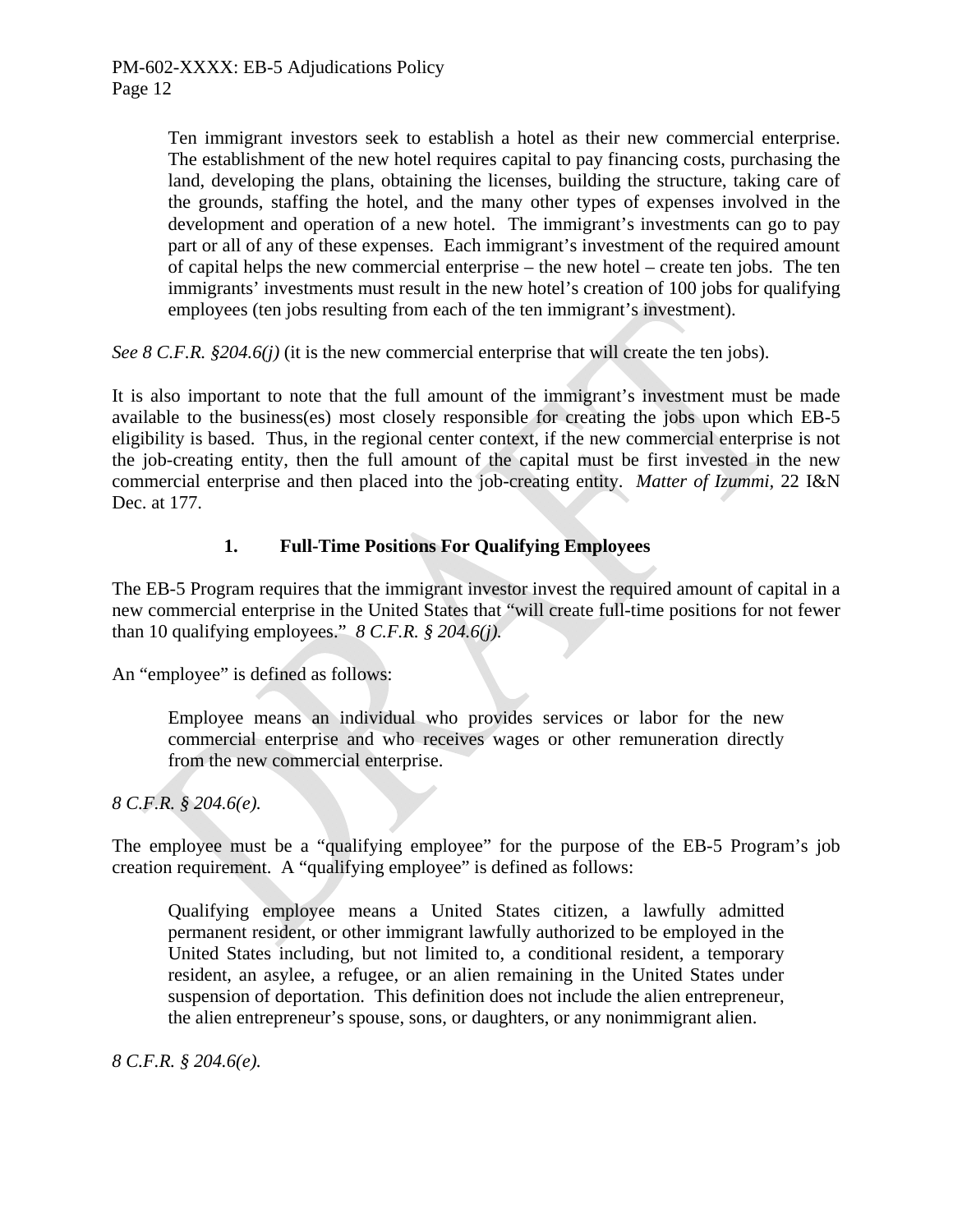Ten immigrant investors seek to establish a hotel as their new commercial enterprise. The establishment of the new hotel requires capital to pay financing costs, purchasing the land, developing the plans, obtaining the licenses, building the structure, taking care of the grounds, staffing the hotel, and the many other types of expenses involved in the development and operation of a new hotel. The immigrant's investments can go to pay part or all of any of these expenses. Each immigrant's investment of the required amount of capital helps the new commercial enterprise – the new hotel – create ten jobs. The ten immigrants' investments must result in the new hotel's creation of 100 jobs for qualifying employees (ten jobs resulting from each of the ten immigrant's investment).

*See 8 C.F.R. §204.6(j)* (it is the new commercial enterprise that will create the ten jobs).

It is also important to note that the full amount of the immigrant's investment must be made available to the business(es) most closely responsible for creating the jobs upon which EB-5 eligibility is based. Thus, in the regional center context, if the new commercial enterprise is not the job-creating entity, then the full amount of the capital must be first invested in the new commercial enterprise and then placed into the job-creating entity. *Matter of Izummi,* 22 I&N Dec. at 177.

# **1. Full-Time Positions For Qualifying Employees**

The EB-5 Program requires that the immigrant investor invest the required amount of capital in a new commercial enterprise in the United States that "will create full-time positions for not fewer than 10 qualifying employees." *8 C.F.R. § 204.6(j).*

An "employee" is defined as follows:

 Employee means an individual who provides services or labor for the new commercial enterprise and who receives wages or other remuneration directly from the new commercial enterprise.

*8 C.F.R. § 204.6(e).* 

The employee must be a "qualifying employee" for the purpose of the EB-5 Program's job creation requirement. A "qualifying employee" is defined as follows:

 Qualifying employee means a United States citizen, a lawfully admitted permanent resident, or other immigrant lawfully authorized to be employed in the United States including, but not limited to, a conditional resident, a temporary resident, an asylee, a refugee, or an alien remaining in the United States under suspension of deportation. This definition does not include the alien entrepreneur, the alien entrepreneur's spouse, sons, or daughters, or any nonimmigrant alien.

*8 C.F.R. § 204.6(e).*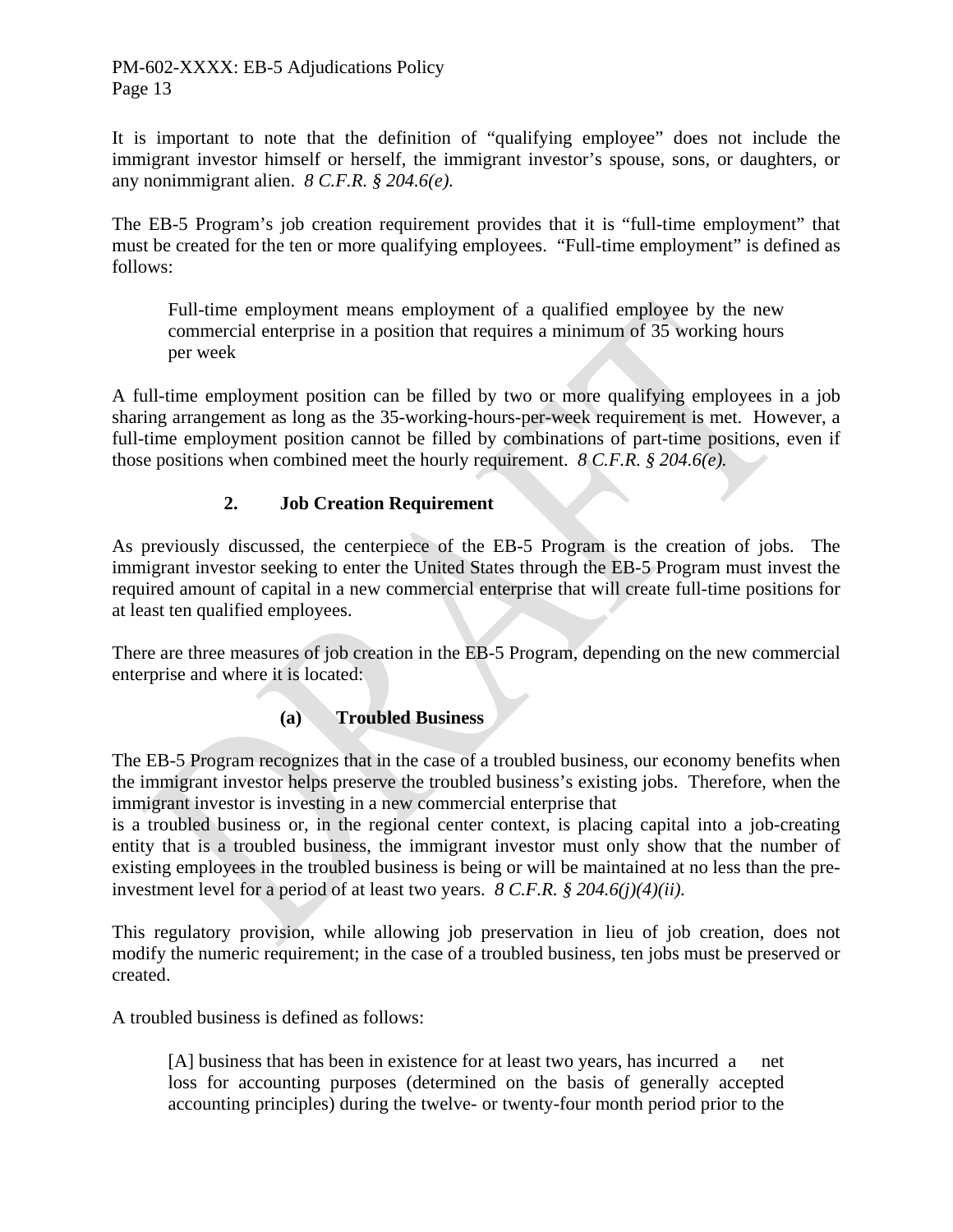It is important to note that the definition of "qualifying employee" does not include the immigrant investor himself or herself, the immigrant investor's spouse, sons, or daughters, or any nonimmigrant alien. *8 C.F.R. § 204.6(e).*

The EB-5 Program's job creation requirement provides that it is "full-time employment" that must be created for the ten or more qualifying employees. "Full-time employment" is defined as follows:

Full-time employment means employment of a qualified employee by the new commercial enterprise in a position that requires a minimum of 35 working hours per week

A full-time employment position can be filled by two or more qualifying employees in a job sharing arrangement as long as the 35-working-hours-per-week requirement is met. However, a full-time employment position cannot be filled by combinations of part-time positions, even if those positions when combined meet the hourly requirement. *8 C.F.R. § 204.6(e).*

# **2. Job Creation Requirement**

As previously discussed, the centerpiece of the EB-5 Program is the creation of jobs. The immigrant investor seeking to enter the United States through the EB-5 Program must invest the required amount of capital in a new commercial enterprise that will create full-time positions for at least ten qualified employees.

There are three measures of job creation in the EB-5 Program, depending on the new commercial enterprise and where it is located:

# **(a) Troubled Business**

The EB-5 Program recognizes that in the case of a troubled business, our economy benefits when the immigrant investor helps preserve the troubled business's existing jobs. Therefore, when the immigrant investor is investing in a new commercial enterprise that

is a troubled business or, in the regional center context, is placing capital into a job-creating entity that is a troubled business, the immigrant investor must only show that the number of existing employees in the troubled business is being or will be maintained at no less than the preinvestment level for a period of at least two years. *8 C.F.R. § 204.6(j)(4)(ii).* 

This regulatory provision, while allowing job preservation in lieu of job creation, does not modify the numeric requirement; in the case of a troubled business, ten jobs must be preserved or created.

A troubled business is defined as follows:

 [A] business that has been in existence for at least two years, has incurred a net loss for accounting purposes (determined on the basis of generally accepted accounting principles) during the twelve- or twenty-four month period prior to the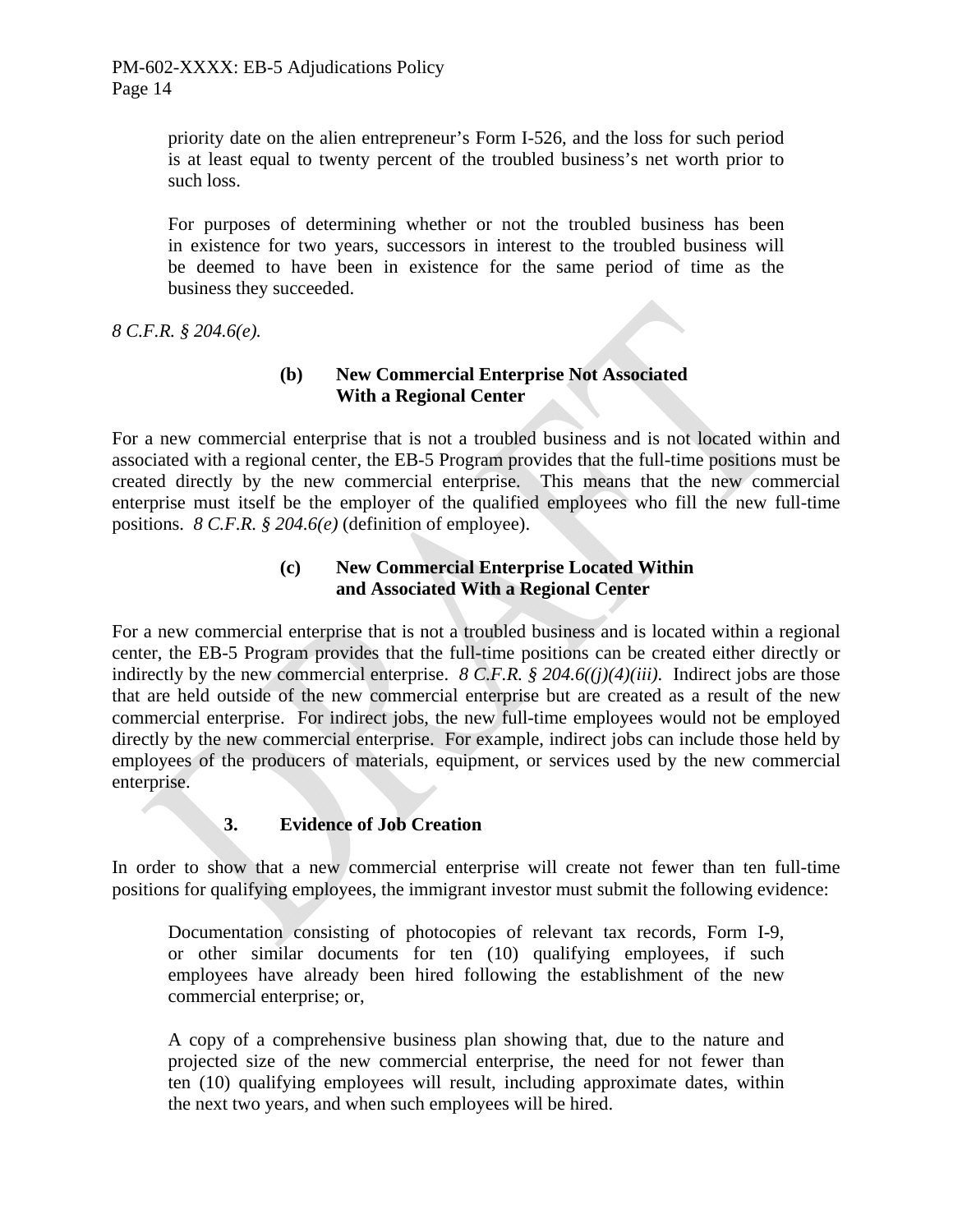priority date on the alien entrepreneur's Form I-526, and the loss for such period is at least equal to twenty percent of the troubled business's net worth prior to such loss.

For purposes of determining whether or not the troubled business has been in existence for two years, successors in interest to the troubled business will be deemed to have been in existence for the same period of time as the business they succeeded.

*8 C.F.R. § 204.6(e).*

# **(b) New Commercial Enterprise Not Associated With a Regional Center**

For a new commercial enterprise that is not a troubled business and is not located within and associated with a regional center, the EB-5 Program provides that the full-time positions must be created directly by the new commercial enterprise. This means that the new commercial enterprise must itself be the employer of the qualified employees who fill the new full-time positions. *8 C.F.R. § 204.6(e)* (definition of employee).

# **(c) New Commercial Enterprise Located Within and Associated With a Regional Center**

For a new commercial enterprise that is not a troubled business and is located within a regional center, the EB-5 Program provides that the full-time positions can be created either directly or indirectly by the new commercial enterprise. *8 C.F.R. § 204.6((j)(4)(iii).* Indirect jobs are those that are held outside of the new commercial enterprise but are created as a result of the new commercial enterprise. For indirect jobs, the new full-time employees would not be employed directly by the new commercial enterprise. For example, indirect jobs can include those held by employees of the producers of materials, equipment, or services used by the new commercial enterprise.

# **3. Evidence of Job Creation**

In order to show that a new commercial enterprise will create not fewer than ten full-time positions for qualifying employees, the immigrant investor must submit the following evidence:

 Documentation consisting of photocopies of relevant tax records, Form I-9, or other similar documents for ten (10) qualifying employees, if such employees have already been hired following the establishment of the new commercial enterprise; or,

 A copy of a comprehensive business plan showing that, due to the nature and projected size of the new commercial enterprise, the need for not fewer than ten (10) qualifying employees will result, including approximate dates, within the next two years, and when such employees will be hired.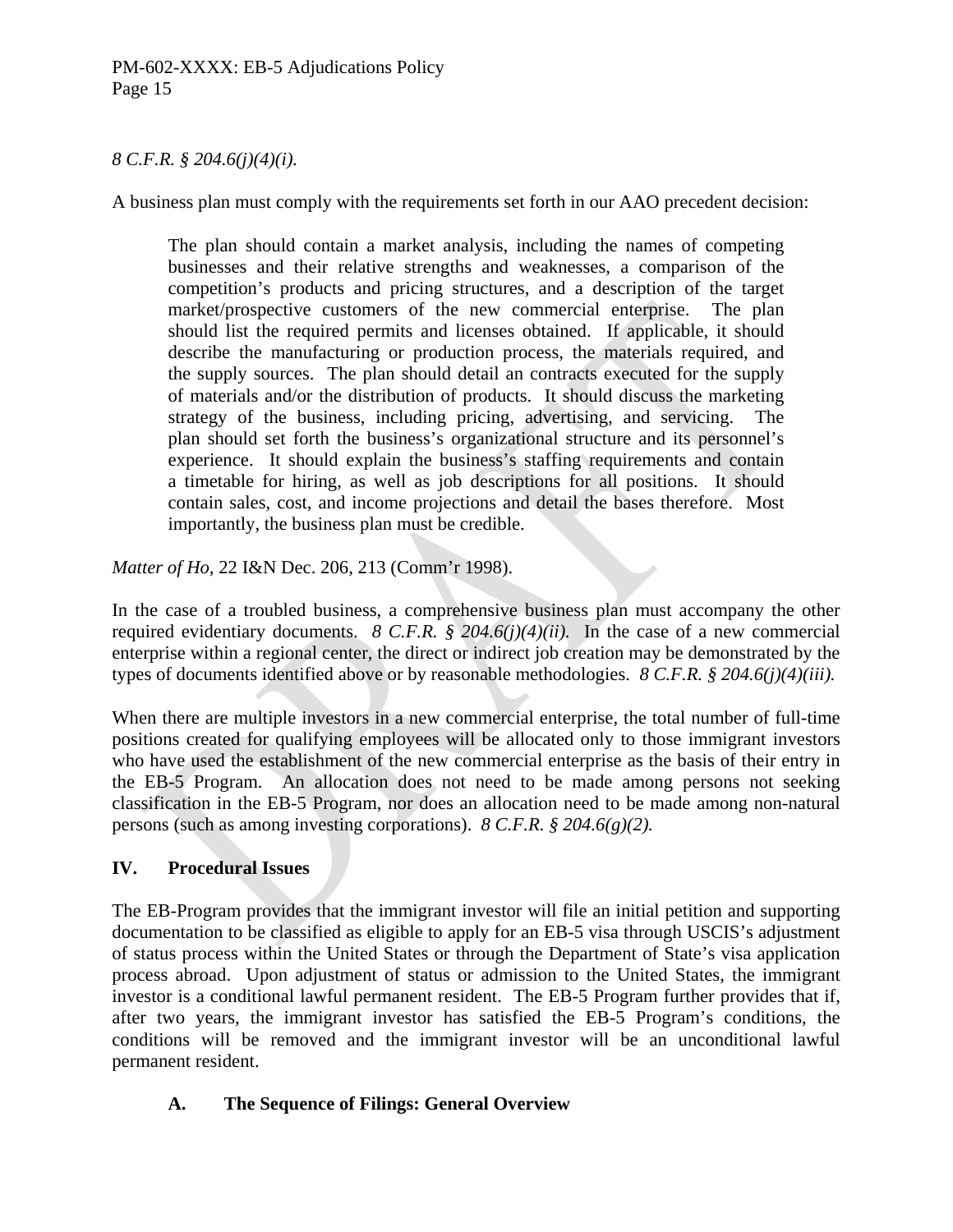#### *8 C.F.R. § 204.6(j)(4)(i).*

A business plan must comply with the requirements set forth in our AAO precedent decision:

The plan should contain a market analysis, including the names of competing businesses and their relative strengths and weaknesses, a comparison of the competition's products and pricing structures, and a description of the target market/prospective customers of the new commercial enterprise. The plan should list the required permits and licenses obtained. If applicable, it should describe the manufacturing or production process, the materials required, and the supply sources. The plan should detail an contracts executed for the supply of materials and/or the distribution of products. It should discuss the marketing strategy of the business, including pricing, advertising, and servicing. The plan should set forth the business's organizational structure and its personnel's experience. It should explain the business's staffing requirements and contain a timetable for hiring, as well as job descriptions for all positions. It should contain sales, cost, and income projections and detail the bases therefore. Most importantly, the business plan must be credible.

*Matter of Ho,* 22 I&N Dec. 206, 213 (Comm'r 1998).

In the case of a troubled business, a comprehensive business plan must accompany the other required evidentiary documents. *8 C.F.R. § 204.6(j)(4)(ii).* In the case of a new commercial enterprise within a regional center, the direct or indirect job creation may be demonstrated by the types of documents identified above or by reasonable methodologies. *8 C.F.R. § 204.6(j)(4)(iii).*

When there are multiple investors in a new commercial enterprise, the total number of full-time positions created for qualifying employees will be allocated only to those immigrant investors who have used the establishment of the new commercial enterprise as the basis of their entry in the EB-5 Program. An allocation does not need to be made among persons not seeking classification in the EB-5 Program, nor does an allocation need to be made among non-natural persons (such as among investing corporations). *8 C.F.R. § 204.6(g)(2).*

# **IV. Procedural Issues**

The EB-Program provides that the immigrant investor will file an initial petition and supporting documentation to be classified as eligible to apply for an EB-5 visa through USCIS's adjustment of status process within the United States or through the Department of State's visa application process abroad. Upon adjustment of status or admission to the United States, the immigrant investor is a conditional lawful permanent resident. The EB-5 Program further provides that if, after two years, the immigrant investor has satisfied the EB-5 Program's conditions, the conditions will be removed and the immigrant investor will be an unconditional lawful permanent resident.

# **A. The Sequence of Filings: General Overview**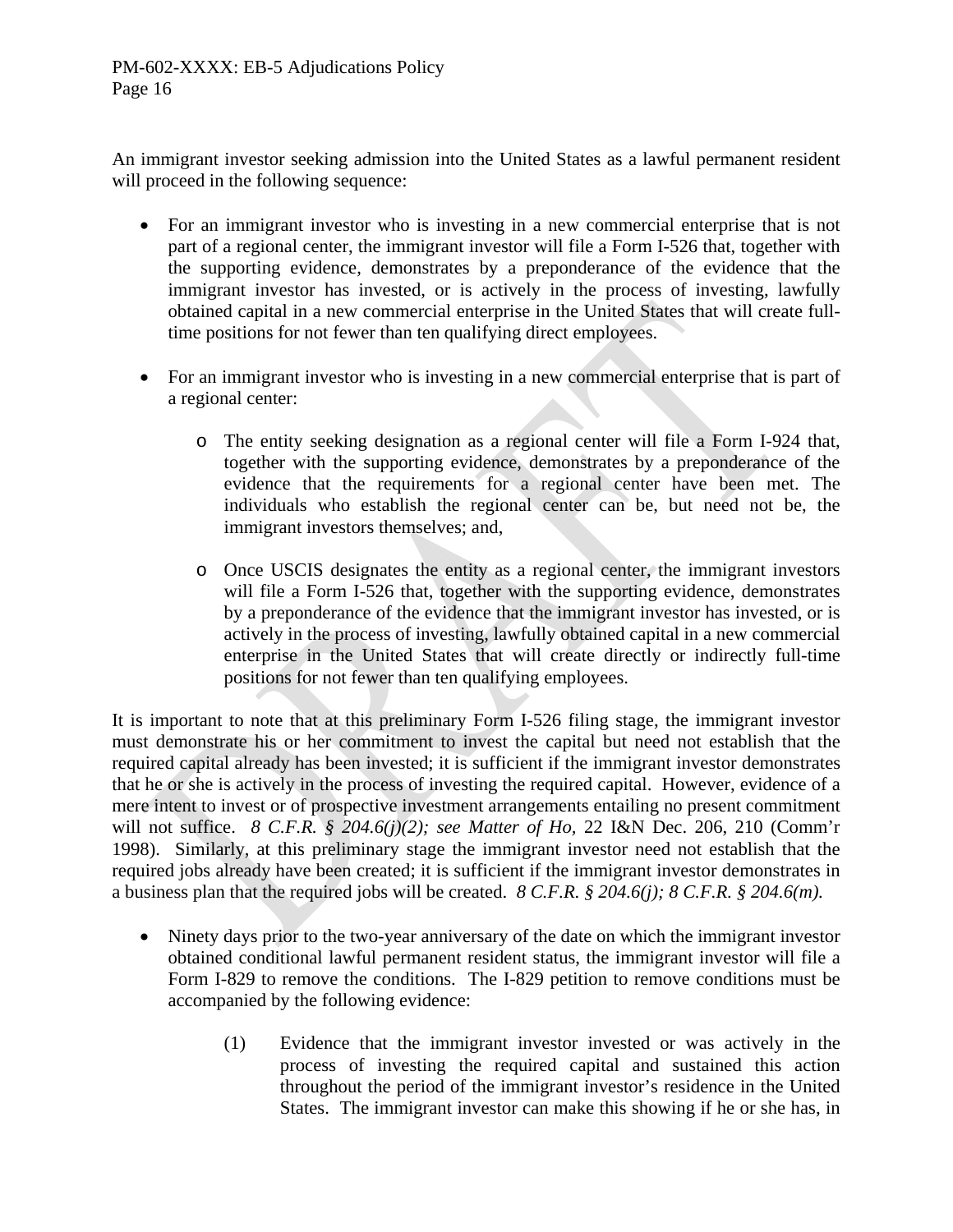An immigrant investor seeking admission into the United States as a lawful permanent resident will proceed in the following sequence:

- For an immigrant investor who is investing in a new commercial enterprise that is not part of a regional center, the immigrant investor will file a Form I-526 that, together with the supporting evidence, demonstrates by a preponderance of the evidence that the immigrant investor has invested, or is actively in the process of investing, lawfully obtained capital in a new commercial enterprise in the United States that will create fulltime positions for not fewer than ten qualifying direct employees.
- For an immigrant investor who is investing in a new commercial enterprise that is part of a regional center:
	- o The entity seeking designation as a regional center will file a Form I-924 that, together with the supporting evidence, demonstrates by a preponderance of the evidence that the requirements for a regional center have been met. The individuals who establish the regional center can be, but need not be, the immigrant investors themselves; and,
	- o Once USCIS designates the entity as a regional center, the immigrant investors will file a Form I-526 that, together with the supporting evidence, demonstrates by a preponderance of the evidence that the immigrant investor has invested, or is actively in the process of investing, lawfully obtained capital in a new commercial enterprise in the United States that will create directly or indirectly full-time positions for not fewer than ten qualifying employees.

It is important to note that at this preliminary Form I-526 filing stage, the immigrant investor must demonstrate his or her commitment to invest the capital but need not establish that the required capital already has been invested; it is sufficient if the immigrant investor demonstrates that he or she is actively in the process of investing the required capital. However, evidence of a mere intent to invest or of prospective investment arrangements entailing no present commitment will not suffice. *8 C.F.R. § 204.6(j)(2); see Matter of Ho,* 22 I&N Dec. 206, 210 (Comm'r 1998). Similarly, at this preliminary stage the immigrant investor need not establish that the required jobs already have been created; it is sufficient if the immigrant investor demonstrates in a business plan that the required jobs will be created. *8 C.F.R. § 204.6(j); 8 C.F.R. § 204.6(m).*

- Ninety days prior to the two-year anniversary of the date on which the immigrant investor obtained conditional lawful permanent resident status, the immigrant investor will file a Form I-829 to remove the conditions. The I-829 petition to remove conditions must be accompanied by the following evidence:
	- (1) Evidence that the immigrant investor invested or was actively in the process of investing the required capital and sustained this action throughout the period of the immigrant investor's residence in the United States. The immigrant investor can make this showing if he or she has, in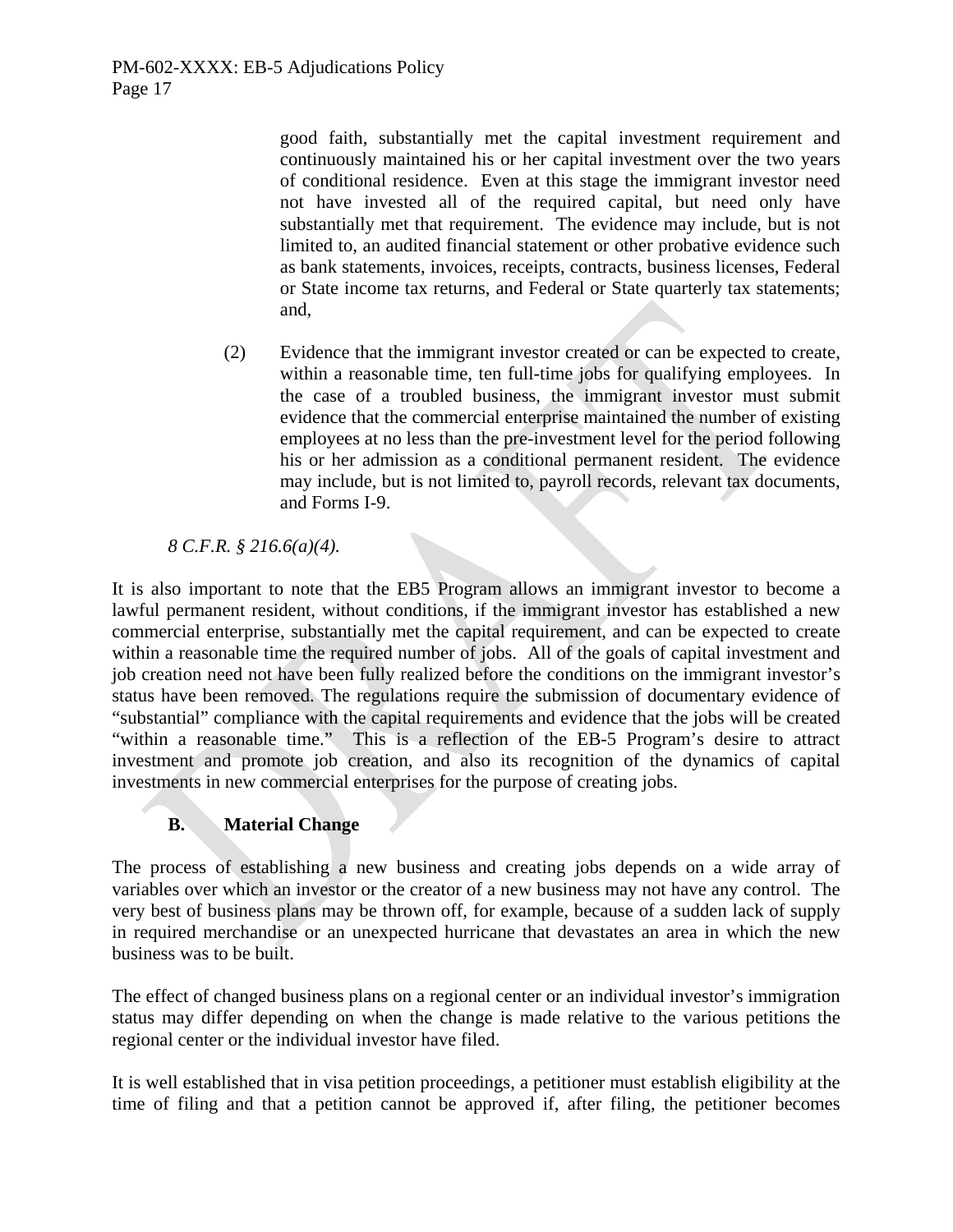good faith, substantially met the capital investment requirement and continuously maintained his or her capital investment over the two years of conditional residence. Even at this stage the immigrant investor need not have invested all of the required capital, but need only have substantially met that requirement. The evidence may include, but is not limited to, an audited financial statement or other probative evidence such as bank statements, invoices, receipts, contracts, business licenses, Federal or State income tax returns, and Federal or State quarterly tax statements; and,

(2) Evidence that the immigrant investor created or can be expected to create, within a reasonable time, ten full-time jobs for qualifying employees. In the case of a troubled business, the immigrant investor must submit evidence that the commercial enterprise maintained the number of existing employees at no less than the pre-investment level for the period following his or her admission as a conditional permanent resident. The evidence may include, but is not limited to, payroll records, relevant tax documents, and Forms I-9.

# *8 C.F.R. § 216.6(a)(4).*

It is also important to note that the EB5 Program allows an immigrant investor to become a lawful permanent resident, without conditions, if the immigrant investor has established a new commercial enterprise, substantially met the capital requirement, and can be expected to create within a reasonable time the required number of jobs. All of the goals of capital investment and job creation need not have been fully realized before the conditions on the immigrant investor's status have been removed. The regulations require the submission of documentary evidence of "substantial" compliance with the capital requirements and evidence that the jobs will be created "within a reasonable time." This is a reflection of the EB-5 Program's desire to attract investment and promote job creation, and also its recognition of the dynamics of capital investments in new commercial enterprises for the purpose of creating jobs.

# **B. Material Change**

The process of establishing a new business and creating jobs depends on a wide array of variables over which an investor or the creator of a new business may not have any control. The very best of business plans may be thrown off, for example, because of a sudden lack of supply in required merchandise or an unexpected hurricane that devastates an area in which the new business was to be built.

The effect of changed business plans on a regional center or an individual investor's immigration status may differ depending on when the change is made relative to the various petitions the regional center or the individual investor have filed.

It is well established that in visa petition proceedings, a petitioner must establish eligibility at the time of filing and that a petition cannot be approved if, after filing, the petitioner becomes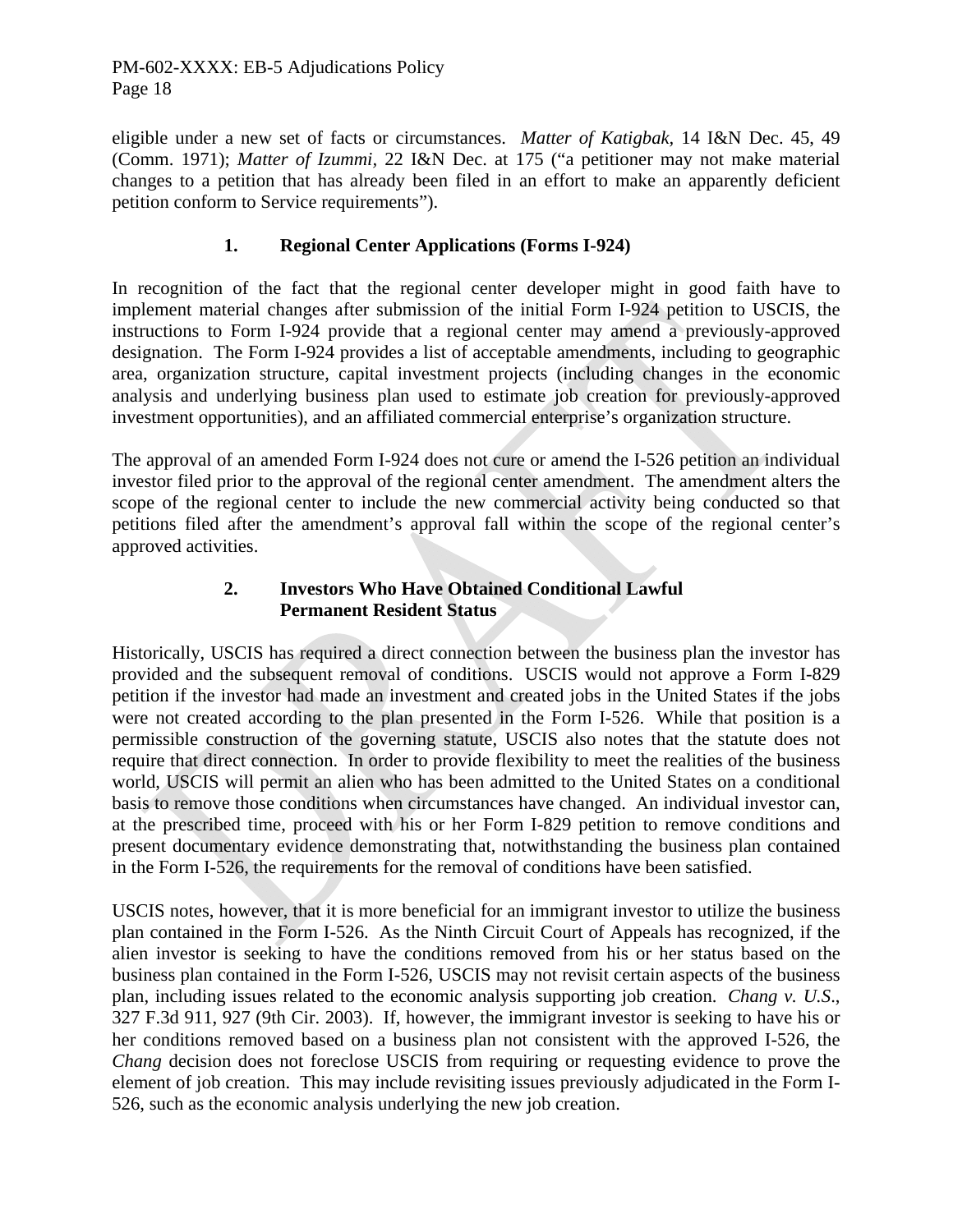eligible under a new set of facts or circumstances. *Matter of Katigbak,* 14 I&N Dec. 45, 49 (Comm. 1971); *Matter of Izummi,* 22 I&N Dec. at 175 ("a petitioner may not make material changes to a petition that has already been filed in an effort to make an apparently deficient petition conform to Service requirements").

# **1. Regional Center Applications (Forms I-924)**

In recognition of the fact that the regional center developer might in good faith have to implement material changes after submission of the initial Form I-924 petition to USCIS, the instructions to Form I-924 provide that a regional center may amend a previously-approved designation. The Form I-924 provides a list of acceptable amendments, including to geographic area, organization structure, capital investment projects (including changes in the economic analysis and underlying business plan used to estimate job creation for previously-approved investment opportunities), and an affiliated commercial enterprise's organization structure.

The approval of an amended Form I-924 does not cure or amend the I-526 petition an individual investor filed prior to the approval of the regional center amendment. The amendment alters the scope of the regional center to include the new commercial activity being conducted so that petitions filed after the amendment's approval fall within the scope of the regional center's approved activities.

#### **2. Investors Who Have Obtained Conditional Lawful Permanent Resident Status**

Historically, USCIS has required a direct connection between the business plan the investor has provided and the subsequent removal of conditions. USCIS would not approve a Form I-829 petition if the investor had made an investment and created jobs in the United States if the jobs were not created according to the plan presented in the Form I-526. While that position is a permissible construction of the governing statute, USCIS also notes that the statute does not require that direct connection. In order to provide flexibility to meet the realities of the business world, USCIS will permit an alien who has been admitted to the United States on a conditional basis to remove those conditions when circumstances have changed. An individual investor can, at the prescribed time, proceed with his or her Form I-829 petition to remove conditions and present documentary evidence demonstrating that, notwithstanding the business plan contained in the Form I-526, the requirements for the removal of conditions have been satisfied.

USCIS notes, however, that it is more beneficial for an immigrant investor to utilize the business plan contained in the Form I-526. As the Ninth Circuit Court of Appeals has recognized, if the alien investor is seeking to have the conditions removed from his or her status based on the business plan contained in the Form I-526, USCIS may not revisit certain aspects of the business plan, including issues related to the economic analysis supporting job creation. *Chang v. U.S*., 327 F.3d 911, 927 (9th Cir. 2003). If, however, the immigrant investor is seeking to have his or her conditions removed based on a business plan not consistent with the approved I-526, the *Chang* decision does not foreclose USCIS from requiring or requesting evidence to prove the element of job creation. This may include revisiting issues previously adjudicated in the Form I-526, such as the economic analysis underlying the new job creation.